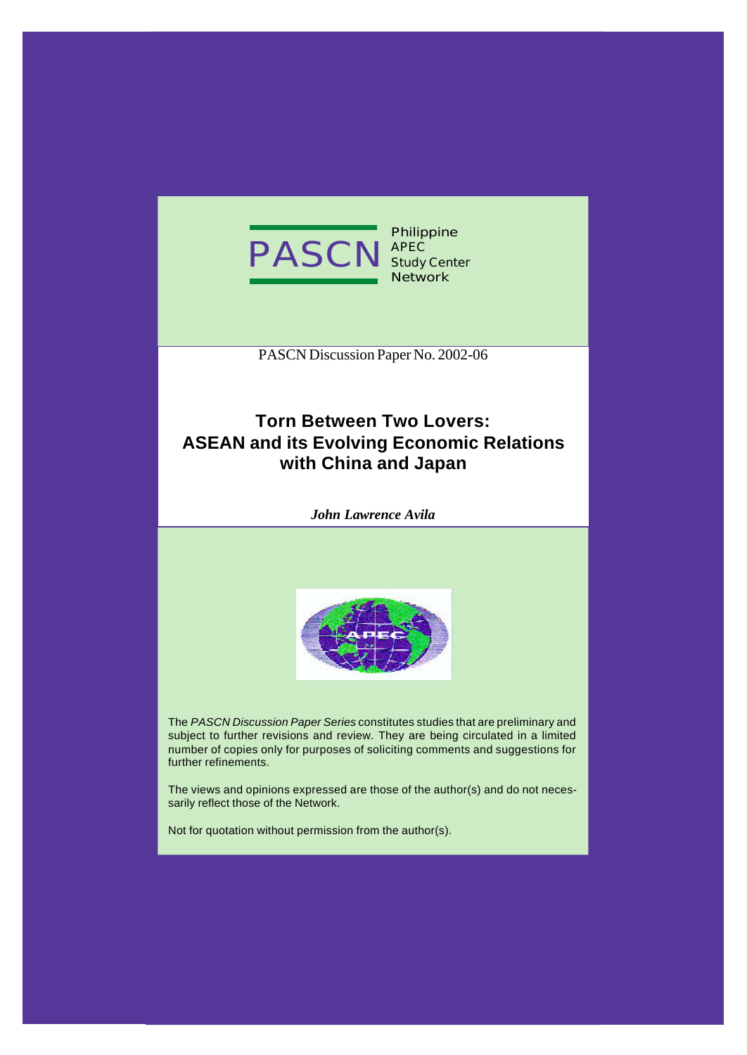

**Philippine APEC Study Center Network**

PASCN Discussion Paper No. 2002-06

# **Torn Between Two Lovers: ASEAN and its Evolving Economic Relations with China and Japan**

*John Lawrence Avila*



The *PASCN Discussion Paper Series* constitutes studies that are preliminary and subject to further revisions and review. They are being circulated in a limited number of copies only for purposes of soliciting comments and suggestions for further refinements.

The views and opinions expressed are those of the author(s) and do not necessarily reflect those of the Network.

Not for quotation without permission from the author(s).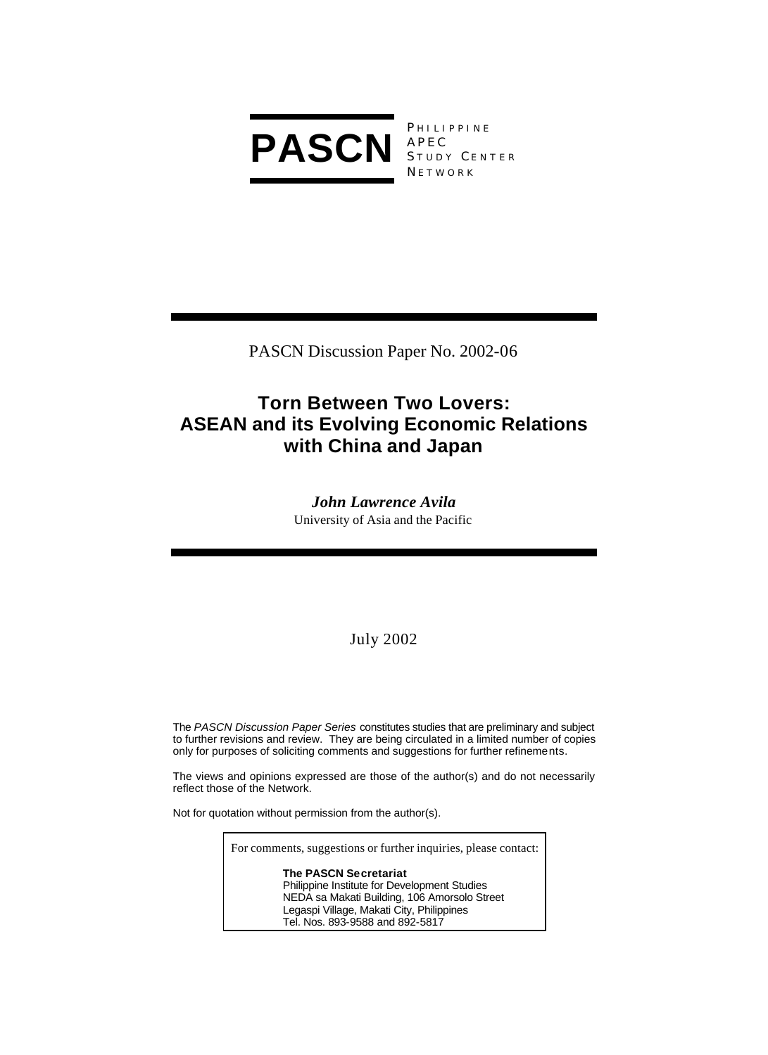

PHILIPPINE STUDY CENTER **NETWORK** 

PASCN Discussion Paper No. 2002-06

# **Torn Between Two Lovers: ASEAN and its Evolving Economic Relations with China and Japan**

*John Lawrence Avila* University of Asia and the Pacific

# July 2002

The *PASCN Discussion Paper Series* constitutes studies that are preliminary and subject to further revisions and review. They are being circulated in a limited number of copies only for purposes of soliciting comments and suggestions for further refinements.

The views and opinions expressed are those of the author(s) and do not necessarily reflect those of the Network.

Not for quotation without permission from the author(s).

For comments, suggestions or further inquiries, please contact:

**The PASCN Secretariat** Philippine Institute for Development Studies NEDA sa Makati Building, 106 Amorsolo Street Legaspi Village, Makati City, Philippines Tel. Nos. 893-9588 and 892-5817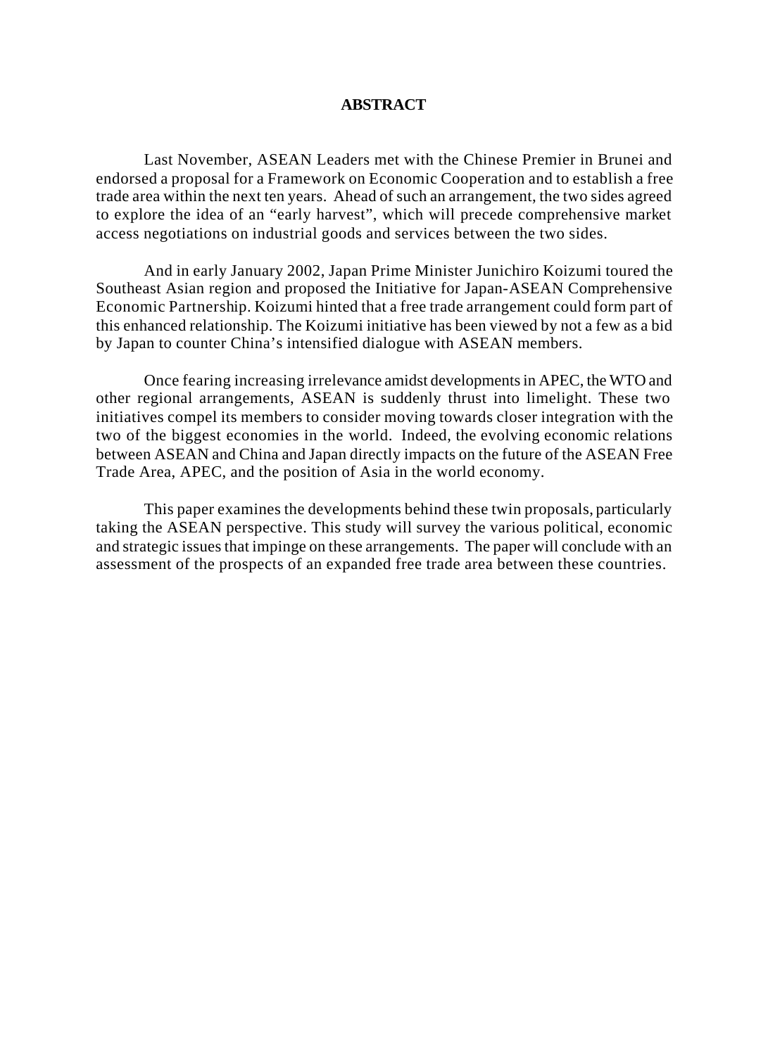#### **ABSTRACT**

Last November, ASEAN Leaders met with the Chinese Premier in Brunei and endorsed a proposal for a Framework on Economic Cooperation and to establish a free trade area within the next ten years. Ahead of such an arrangement, the two sides agreed to explore the idea of an "early harvest", which will precede comprehensive market access negotiations on industrial goods and services between the two sides.

And in early January 2002, Japan Prime Minister Junichiro Koizumi toured the Southeast Asian region and proposed the Initiative for Japan-ASEAN Comprehensive Economic Partnership. Koizumi hinted that a free trade arrangement could form part of this enhanced relationship. The Koizumi initiative has been viewed by not a few as a bid by Japan to counter China's intensified dialogue with ASEAN members.

Once fearing increasing irrelevance amidst developments in APEC, the WTO and other regional arrangements, ASEAN is suddenly thrust into limelight. These two initiatives compel its members to consider moving towards closer integration with the two of the biggest economies in the world. Indeed, the evolving economic relations between ASEAN and China and Japan directly impacts on the future of the ASEAN Free Trade Area, APEC, and the position of Asia in the world economy.

This paper examines the developments behind these twin proposals, particularly taking the ASEAN perspective. This study will survey the various political, economic and strategic issues that impinge on these arrangements. The paper will conclude with an assessment of the prospects of an expanded free trade area between these countries.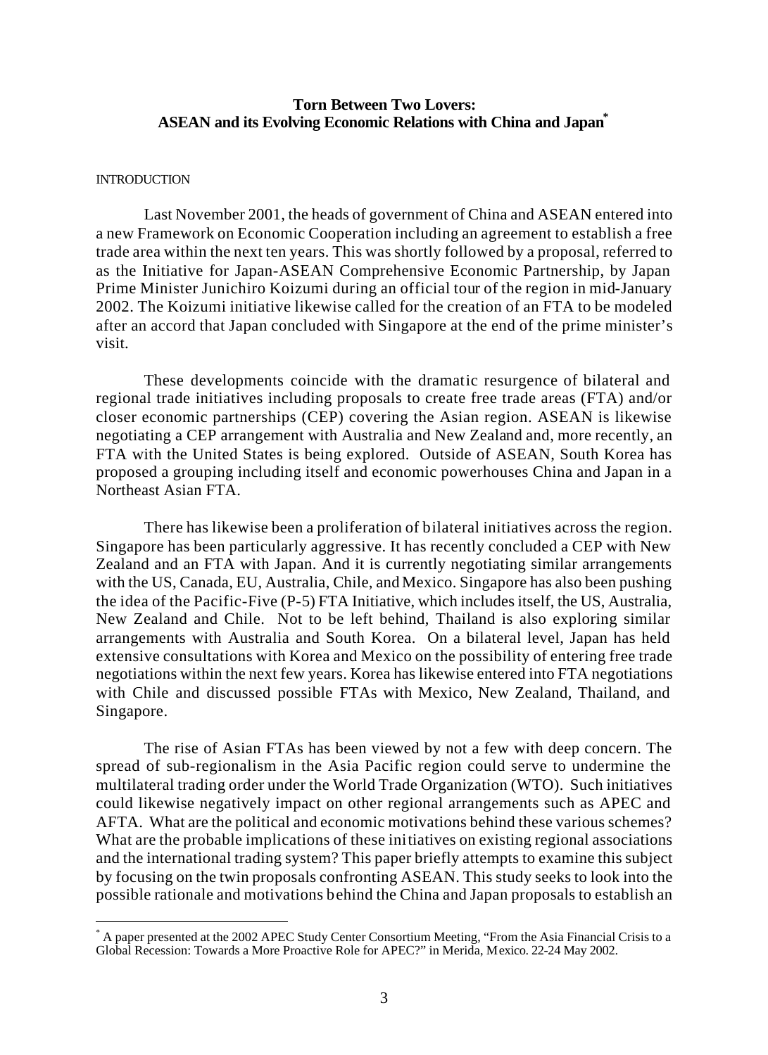# **Torn Between Two Lovers: ASEAN and its Evolving Economic Relations with China and Japan\***

#### **INTRODUCTION**

 $\overline{a}$ 

Last November 2001, the heads of government of China and ASEAN entered into a new Framework on Economic Cooperation including an agreement to establish a free trade area within the next ten years. This was shortly followed by a proposal, referred to as the Initiative for Japan-ASEAN Comprehensive Economic Partnership, by Japan Prime Minister Junichiro Koizumi during an official tour of the region in mid-January 2002. The Koizumi initiative likewise called for the creation of an FTA to be modeled after an accord that Japan concluded with Singapore at the end of the prime minister's visit.

These developments coincide with the dramatic resurgence of bilateral and regional trade initiatives including proposals to create free trade areas (FTA) and/or closer economic partnerships (CEP) covering the Asian region. ASEAN is likewise negotiating a CEP arrangement with Australia and New Zealand and, more recently, an FTA with the United States is being explored. Outside of ASEAN, South Korea has proposed a grouping including itself and economic powerhouses China and Japan in a Northeast Asian FTA.

There has likewise been a proliferation of bilateral initiatives across the region. Singapore has been particularly aggressive. It has recently concluded a CEP with New Zealand and an FTA with Japan. And it is currently negotiating similar arrangements with the US, Canada, EU, Australia, Chile, and Mexico. Singapore has also been pushing the idea of the Pacific-Five (P-5) FTA Initiative, which includes itself, the US, Australia, New Zealand and Chile. Not to be left behind, Thailand is also exploring similar arrangements with Australia and South Korea. On a bilateral level, Japan has held extensive consultations with Korea and Mexico on the possibility of entering free trade negotiations within the next few years. Korea has likewise entered into FTA negotiations with Chile and discussed possible FTAs with Mexico, New Zealand, Thailand, and Singapore.

The rise of Asian FTAs has been viewed by not a few with deep concern. The spread of sub-regionalism in the Asia Pacific region could serve to undermine the multilateral trading order under the World Trade Organization (WTO). Such initiatives could likewise negatively impact on other regional arrangements such as APEC and AFTA. What are the political and economic motivations behind these various schemes? What are the probable implications of these initiatives on existing regional associations and the international trading system? This paper briefly attempts to examine this subject by focusing on the twin proposals confronting ASEAN. This study seeks to look into the possible rationale and motivations behind the China and Japan proposals to establish an

<sup>\*</sup> A paper presented at the 2002 APEC Study Center Consortium Meeting, "From the Asia Financial Crisis to a Global Recession: Towards a More Proactive Role for APEC?" in Merida, Mexico. 22-24 May 2002.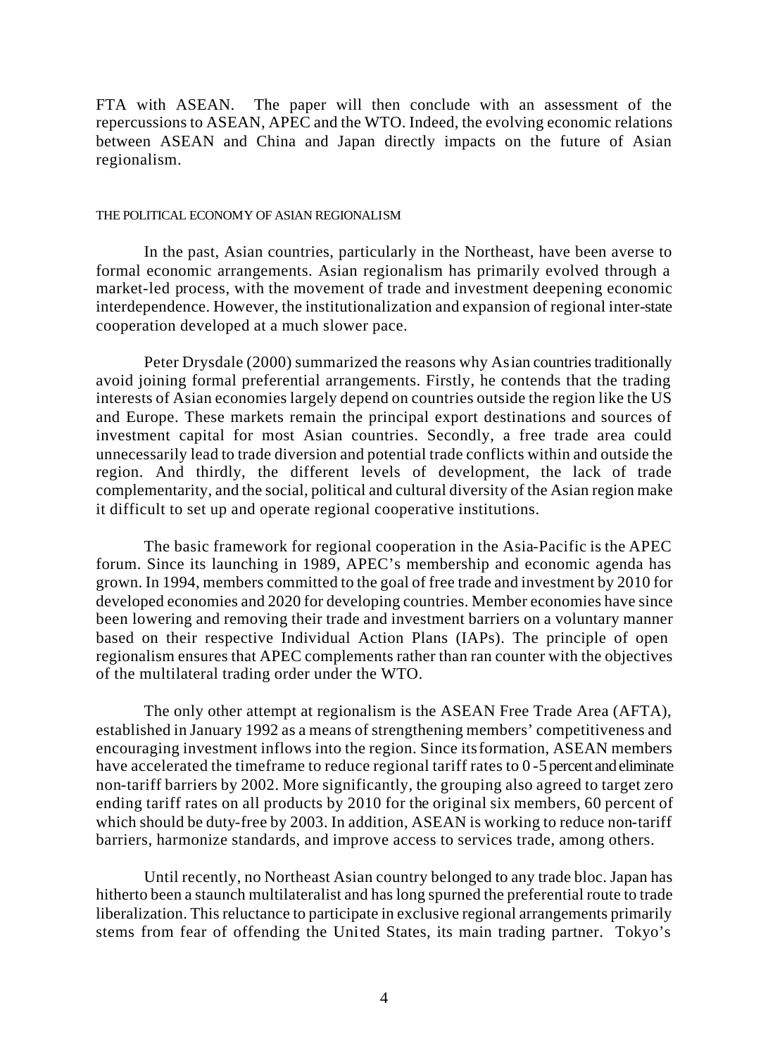FTA with ASEAN. The paper will then conclude with an assessment of the repercussions to ASEAN, APEC and the WTO. Indeed, the evolving economic relations between ASEAN and China and Japan directly impacts on the future of Asian regionalism.

#### THE POLITICAL ECONOMY OF ASIAN REGIONALISM

In the past, Asian countries, particularly in the Northeast, have been averse to formal economic arrangements. Asian regionalism has primarily evolved through a market-led process, with the movement of trade and investment deepening economic interdependence. However, the institutionalization and expansion of regional inter-state cooperation developed at a much slower pace.

Peter Drysdale (2000) summarized the reasons why Asian countries traditionally avoid joining formal preferential arrangements. Firstly, he contends that the trading interests of Asian economies largely depend on countries outside the region like the US and Europe. These markets remain the principal export destinations and sources of investment capital for most Asian countries. Secondly, a free trade area could unnecessarily lead to trade diversion and potential trade conflicts within and outside the region. And thirdly, the different levels of development, the lack of trade complementarity, and the social, political and cultural diversity of the Asian region make it difficult to set up and operate regional cooperative institutions.

The basic framework for regional cooperation in the Asia-Pacific is the APEC forum. Since its launching in 1989, APEC's membership and economic agenda has grown. In 1994, members committed to the goal of free trade and investment by 2010 for developed economies and 2020 for developing countries. Member economies have since been lowering and removing their trade and investment barriers on a voluntary manner based on their respective Individual Action Plans (IAPs). The principle of open regionalism ensures that APEC complements rather than ran counter with the objectives of the multilateral trading order under the WTO.

The only other attempt at regionalism is the ASEAN Free Trade Area (AFTA), established in January 1992 as a means of strengthening members' competitiveness and encouraging investment inflows into the region. Since its formation, ASEAN members have accelerated the timeframe to reduce regional tariff rates to 0-5 percent and eliminate non-tariff barriers by 2002. More significantly, the grouping also agreed to target zero ending tariff rates on all products by 2010 for the original six members, 60 percent of which should be duty-free by 2003. In addition, ASEAN is working to reduce non-tariff barriers, harmonize standards, and improve access to services trade, among others.

Until recently, no Northeast Asian country belonged to any trade bloc. Japan has hitherto been a staunch multilateralist and has long spurned the preferential route to trade liberalization. This reluctance to participate in exclusive regional arrangements primarily stems from fear of offending the United States, its main trading partner. Tokyo's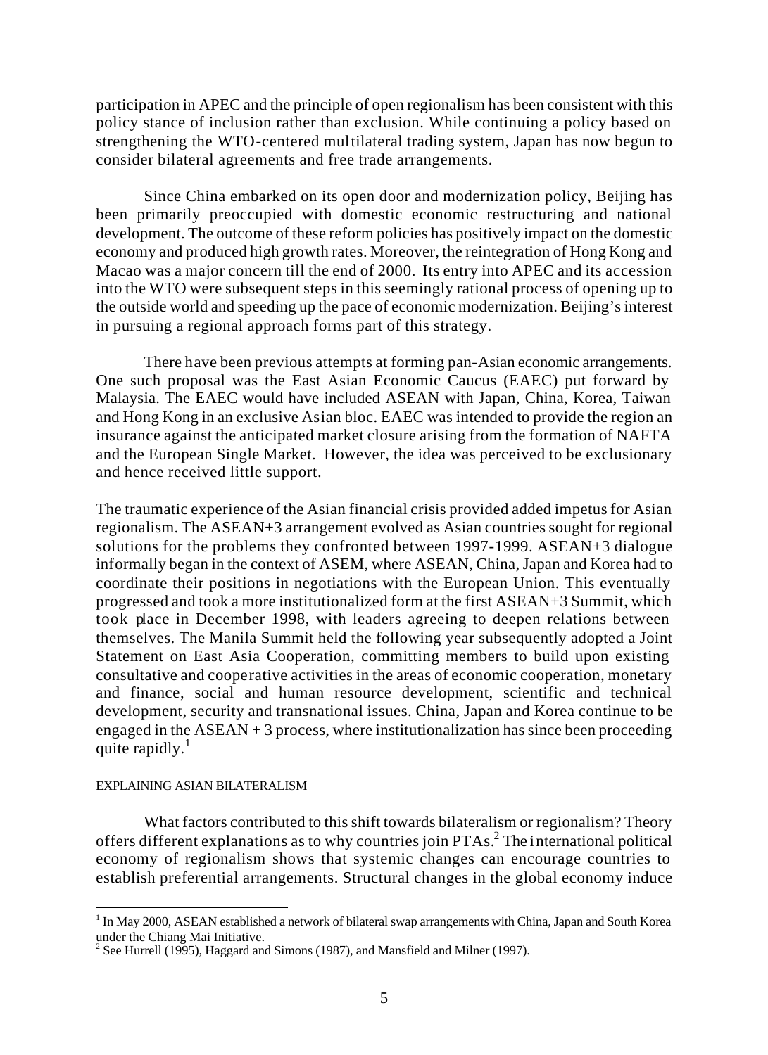participation in APEC and the principle of open regionalism has been consistent with this policy stance of inclusion rather than exclusion. While continuing a policy based on strengthening the WTO-centered multilateral trading system, Japan has now begun to consider bilateral agreements and free trade arrangements.

Since China embarked on its open door and modernization policy, Beijing has been primarily preoccupied with domestic economic restructuring and national development. The outcome of these reform policies has positively impact on the domestic economy and produced high growth rates. Moreover, the reintegration of Hong Kong and Macao was a major concern till the end of 2000. Its entry into APEC and its accession into the WTO were subsequent steps in this seemingly rational process of opening up to the outside world and speeding up the pace of economic modernization. Beijing's interest in pursuing a regional approach forms part of this strategy.

There have been previous attempts at forming pan-Asian economic arrangements. One such proposal was the East Asian Economic Caucus (EAEC) put forward by Malaysia. The EAEC would have included ASEAN with Japan, China, Korea, Taiwan and Hong Kong in an exclusive Asian bloc. EAEC was intended to provide the region an insurance against the anticipated market closure arising from the formation of NAFTA and the European Single Market. However, the idea was perceived to be exclusionary and hence received little support.

The traumatic experience of the Asian financial crisis provided added impetus for Asian regionalism. The ASEAN+3 arrangement evolved as Asian countries sought for regional solutions for the problems they confronted between 1997-1999. ASEAN+3 dialogue informally began in the context of ASEM, where ASEAN, China, Japan and Korea had to coordinate their positions in negotiations with the European Union. This eventually progressed and took a more institutionalized form at the first ASEAN+3 Summit, which took place in December 1998, with leaders agreeing to deepen relations between themselves. The Manila Summit held the following year subsequently adopted a Joint Statement on East Asia Cooperation, committing members to build upon existing consultative and cooperative activities in the areas of economic cooperation, monetary and finance, social and human resource development, scientific and technical development, security and transnational issues. China, Japan and Korea continue to be engaged in the  $ASEAN + 3$  process, where institutionalization has since been proceeding quite rapidly. $1$ 

#### EXPLAINING ASIAN BILATERALISM

What factors contributed to this shift towards bilateralism or regionalism? Theory offers different explanations as to why countries join PTAs.<sup>2</sup> The international political economy of regionalism shows that systemic changes can encourage countries to establish preferential arrangements. Structural changes in the global economy induce

 $\overline{a}$ <sup>1</sup> In May 2000, ASEAN established a network of bilateral swap arrangements with China, Japan and South Korea under the Chiang Mai Initiative.

<sup>&</sup>lt;sup>2</sup> See Hurrell (1995), Haggard and Simons (1987), and Mansfield and Milner (1997).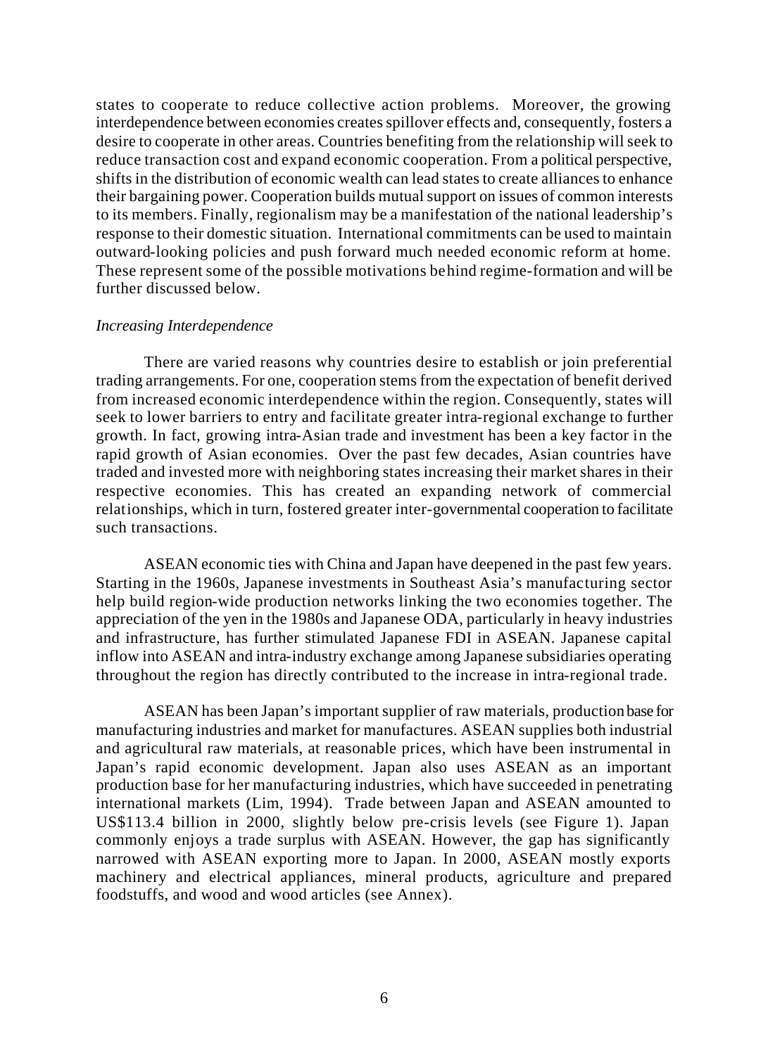states to cooperate to reduce collective action problems. Moreover, the growing interdependence between economies creates spillover effects and, consequently, fosters a desire to cooperate in other areas. Countries benefiting from the relationship will seek to reduce transaction cost and expand economic cooperation. From a political perspective, shifts in the distribution of economic wealth can lead states to create alliances to enhance their bargaining power. Cooperation builds mutual support on issues of common interests to its members. Finally, regionalism may be a manifestation of the national leadership's response to their domestic situation. International commitments can be used to maintain outward-looking policies and push forward much needed economic reform at home. These represent some of the possible motivations behind regime-formation and will be further discussed below.

#### *Increasing Interdependence*

There are varied reasons why countries desire to establish or join preferential trading arrangements. For one, cooperation stems from the expectation of benefit derived from increased economic interdependence within the region. Consequently, states will seek to lower barriers to entry and facilitate greater intra-regional exchange to further growth. In fact, growing intra-Asian trade and investment has been a key factor in the rapid growth of Asian economies. Over the past few decades, Asian countries have traded and invested more with neighboring states increasing their market shares in their respective economies. This has created an expanding network of commercial relationships, which in turn, fostered greater inter-governmental cooperation to facilitate such transactions.

ASEAN economic ties with China and Japan have deepened in the past few years. Starting in the 1960s, Japanese investments in Southeast Asia's manufacturing sector help build region-wide production networks linking the two economies together. The appreciation of the yen in the 1980s and Japanese ODA, particularly in heavy industries and infrastructure, has further stimulated Japanese FDI in ASEAN. Japanese capital inflow into ASEAN and intra-industry exchange among Japanese subsidiaries operating throughout the region has directly contributed to the increase in intra-regional trade.

ASEAN has been Japan's important supplier of raw materials, production base for manufacturing industries and market for manufactures. ASEAN supplies both industrial and agricultural raw materials, at reasonable prices, which have been instrumental in Japan's rapid economic development. Japan also uses ASEAN as an important production base for her manufacturing industries, which have succeeded in penetrating international markets (Lim, 1994). Trade between Japan and ASEAN amounted to US\$113.4 billion in 2000, slightly below pre-crisis levels (see Figure 1). Japan commonly enjoys a trade surplus with ASEAN. However, the gap has significantly narrowed with ASEAN exporting more to Japan. In 2000, ASEAN mostly exports machinery and electrical appliances, mineral products, agriculture and prepared foodstuffs, and wood and wood articles (see Annex).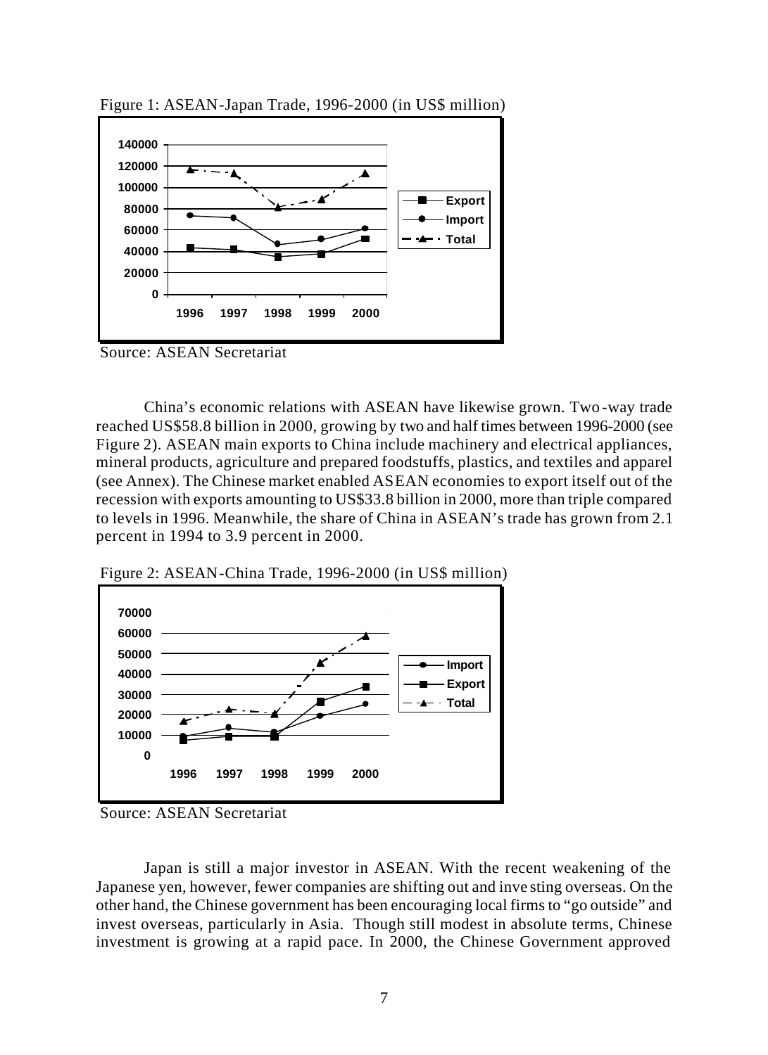

Figure 1: ASEAN-Japan Trade, 1996-2000 (in US\$ million)

Source: ASEAN Secretariat

China's economic relations with ASEAN have likewise grown. Two -way trade reached US\$58.8 billion in 2000, growing by two and half times between 1996-2000 (see Figure 2). ASEAN main exports to China include machinery and electrical appliances, mineral products, agriculture and prepared foodstuffs, plastics, and textiles and apparel (see Annex). The Chinese market enabled ASEAN economies to export itself out of the recession with exports amounting to US\$33.8 billion in 2000, more than triple compared to levels in 1996. Meanwhile, the share of China in ASEAN's trade has grown from 2.1 percent in 1994 to 3.9 percent in 2000.

Figure 2: ASEAN-China Trade, 1996-2000 (in US\$ million)



Source: ASEAN Secretariat

Japan is still a major investor in ASEAN. With the recent weakening of the Japanese yen, however, fewer companies are shifting out and inve sting overseas. On the other hand, the Chinese government has been encouraging local firms to "go outside" and invest overseas, particularly in Asia. Though still modest in absolute terms, Chinese investment is growing at a rapid pace. In 2000, the Chinese Government approved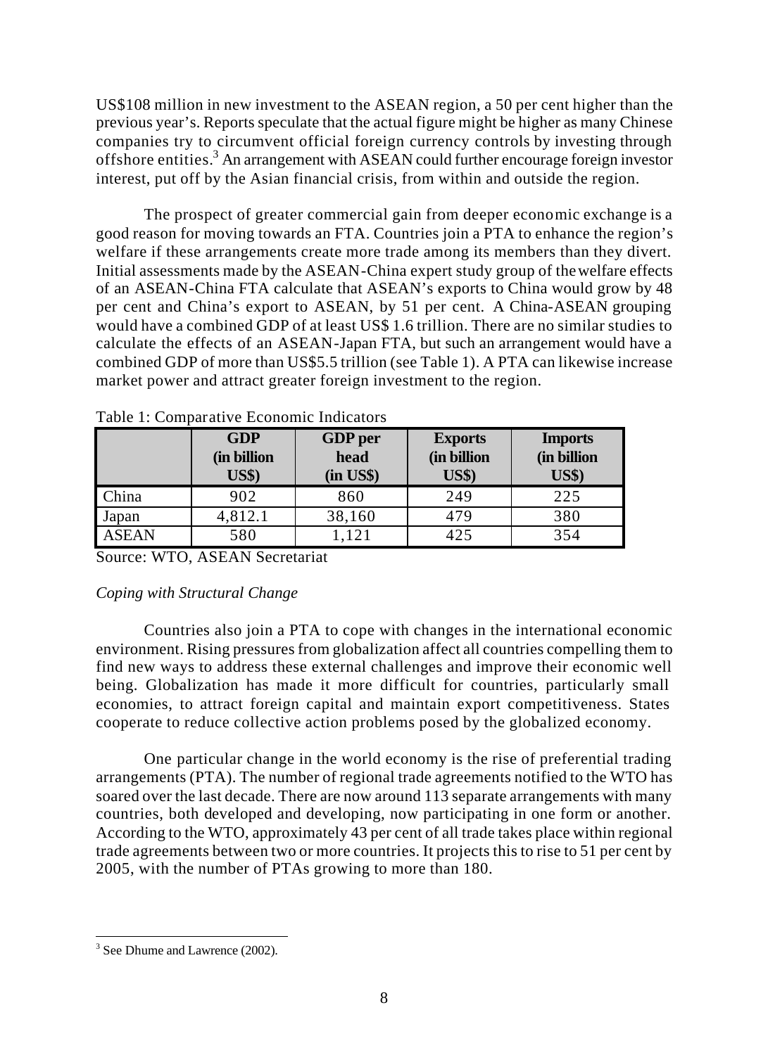US\$108 million in new investment to the ASEAN region, a 50 per cent higher than the previous year's. Reports speculate that the actual figure might be higher as many Chinese companies try to circumvent official foreign currency controls by investing through offshore entities.<sup>3</sup> An arrangement with ASEAN could further encourage foreign investor interest, put off by the Asian financial crisis, from within and outside the region.

The prospect of greater commercial gain from deeper economic exchange is a good reason for moving towards an FTA. Countries join a PTA to enhance the region's welfare if these arrangements create more trade among its members than they divert. Initial assessments made by the ASEAN-China expert study group of the welfare effects of an ASEAN-China FTA calculate that ASEAN's exports to China would grow by 48 per cent and China's export to ASEAN, by 51 per cent. A China-ASEAN grouping would have a combined GDP of at least US\$ 1.6 trillion. There are no similar studies to calculate the effects of an ASEAN-Japan FTA, but such an arrangement would have a combined GDP of more than US\$5.5 trillion (see Table 1). A PTA can likewise increase market power and attract greater foreign investment to the region.

|              | <b>GDP</b><br>(in billion<br><b>US\$)</b> | <b>GDP</b> per<br>head<br>$(in \; US\$ | <b>Exports</b><br>(in billion<br><b>US\$)</b> | <b>Imports</b><br>(in billion<br><b>US\$)</b> |
|--------------|-------------------------------------------|----------------------------------------|-----------------------------------------------|-----------------------------------------------|
| China        | 902                                       | 860                                    | 249                                           | 225                                           |
| Japan        | 4,812.1                                   | 38,160                                 | 479                                           | 380                                           |
| <b>ASEAN</b> | 580                                       | 1,121                                  | 425                                           | 354                                           |

Table 1: Comparative Economic Indicators

Source: WTO, ASEAN Secretariat

# *Coping with Structural Change*

Countries also join a PTA to cope with changes in the international economic environment. Rising pressures from globalization affect all countries compelling them to find new ways to address these external challenges and improve their economic well being. Globalization has made it more difficult for countries, particularly small economies, to attract foreign capital and maintain export competitiveness. States cooperate to reduce collective action problems posed by the globalized economy.

One particular change in the world economy is the rise of preferential trading arrangements (PTA). The number of regional trade agreements notified to the WTO has soared over the last decade. There are now around 113 separate arrangements with many countries, both developed and developing, now participating in one form or another. According to the WTO, approximately 43 per cent of all trade takes place within regional trade agreements between two or more countries. It projects this to rise to 51 per cent by 2005, with the number of PTAs growing to more than 180.

 $\overline{a}$ <sup>3</sup> See Dhume and Lawrence (2002).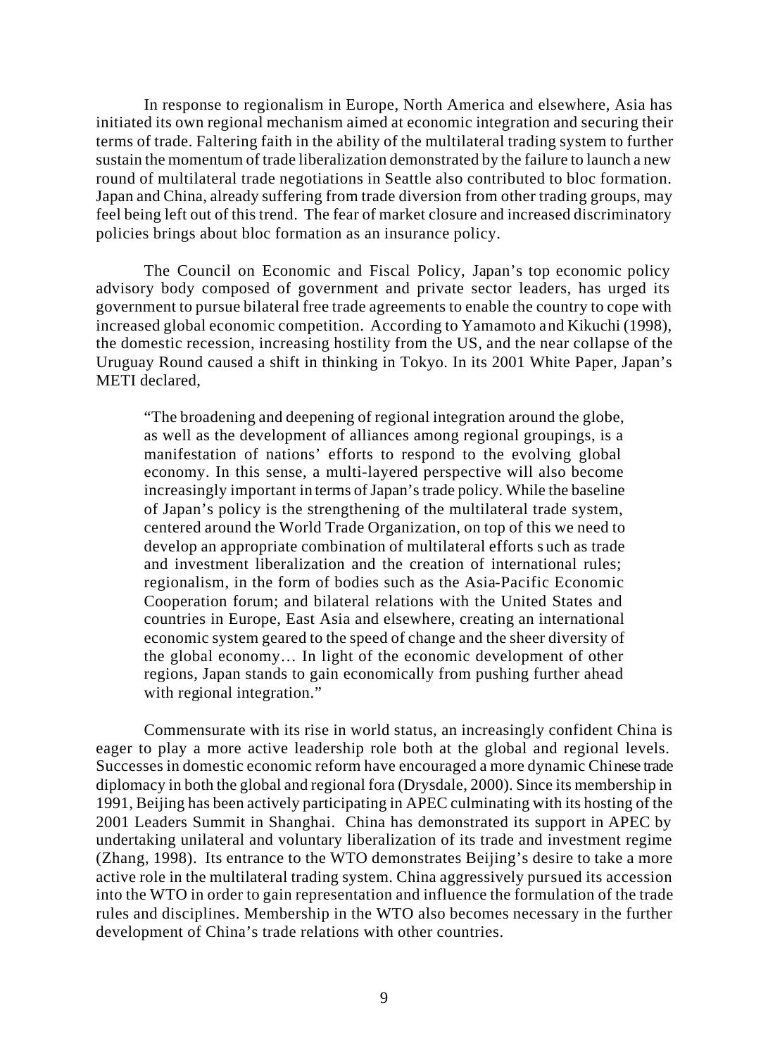In response to regionalism in Europe, North America and elsewhere, Asia has initiated its own regional mechanism aimed at economic integration and securing their terms of trade. Faltering faith in the ability of the multilateral trading system to further sustain the momentum of trade liberalization demonstrated by the failure to launch a new round of multilateral trade negotiations in Seattle also contributed to bloc formation. Japan and China, already suffering from trade diversion from other trading groups, may feel being left out of this trend. The fear of market closure and increased discriminatory policies brings about bloc formation as an insurance policy.

The Council on Economic and Fiscal Policy, Japan's top economic policy advisory body composed of government and private sector leaders, has urged its government to pursue bilateral free trade agreements to enable the country to cope with increased global economic competition. According to Yamamoto and Kikuchi (1998), the domestic recession, increasing hostility from the US, and the near collapse of the Uruguay Round caused a shift in thinking in Tokyo. In its 2001 White Paper, Japan's METI declared,

"The broadening and deepening of regional integration around the globe, as well as the development of alliances among regional groupings, is a manifestation of nations' efforts to respond to the evolving global economy. In this sense, a multi-layered perspective will also become increasingly important in terms of Japan's trade policy. While the baseline of Japan's policy is the strengthening of the multilateral trade system, centered around the World Trade Organization, on top of this we need to develop an appropriate combination of multilateral efforts s uch as trade and investment liberalization and the creation of international rules; regionalism, in the form of bodies such as the Asia-Pacific Economic Cooperation forum; and bilateral relations with the United States and countries in Europe, East Asia and elsewhere, creating an international economic system geared to the speed of change and the sheer diversity of the global economy… In light of the economic development of other regions, Japan stands to gain economically from pushing further ahead with regional integration."

Commensurate with its rise in world status, an increasingly confident China is eager to play a more active leadership role both at the global and regional levels. Successes in domestic economic reform have encouraged a more dynamic Chinese trade diplomacy in both the global and regional fora (Drysdale, 2000). Since its membership in 1991, Beijing has been actively participating in APEC culminating with its hosting of the 2001 Leaders Summit in Shanghai. China has demonstrated its support in APEC by undertaking unilateral and voluntary liberalization of its trade and investment regime (Zhang, 1998). Its entrance to the WTO demonstrates Beijing's desire to take a more active role in the multilateral trading system. China aggressively pursued its accession into the WTO in order to gain representation and influence the formulation of the trade rules and disciplines. Membership in the WTO also becomes necessary in the further development of China's trade relations with other countries.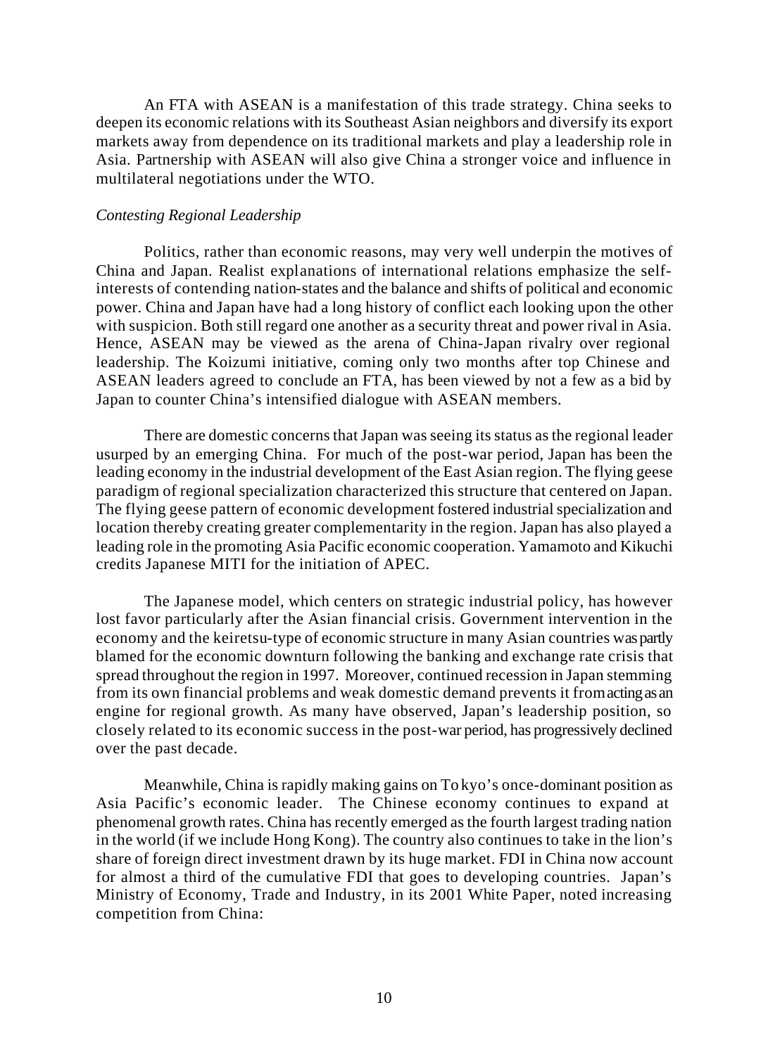An FTA with ASEAN is a manifestation of this trade strategy. China seeks to deepen its economic relations with its Southeast Asian neighbors and diversify its export markets away from dependence on its traditional markets and play a leadership role in Asia. Partnership with ASEAN will also give China a stronger voice and influence in multilateral negotiations under the WTO.

## *Contesting Regional Leadership*

Politics, rather than economic reasons, may very well underpin the motives of China and Japan. Realist explanations of international relations emphasize the selfinterests of contending nation-states and the balance and shifts of political and economic power. China and Japan have had a long history of conflict each looking upon the other with suspicion. Both still regard one another as a security threat and power rival in Asia. Hence, ASEAN may be viewed as the arena of China-Japan rivalry over regional leadership. The Koizumi initiative, coming only two months after top Chinese and ASEAN leaders agreed to conclude an FTA, has been viewed by not a few as a bid by Japan to counter China's intensified dialogue with ASEAN members.

There are domestic concerns that Japan was seeing its status as the regional leader usurped by an emerging China. For much of the post-war period, Japan has been the leading economy in the industrial development of the East Asian region. The flying geese paradigm of regional specialization characterized this structure that centered on Japan. The flying geese pattern of economic development fostered industrial specialization and location thereby creating greater complementarity in the region. Japan has also played a leading role in the promoting Asia Pacific economic cooperation. Yamamoto and Kikuchi credits Japanese MITI for the initiation of APEC.

The Japanese model, which centers on strategic industrial policy, has however lost favor particularly after the Asian financial crisis. Government intervention in the economy and the keiretsu-type of economic structure in many Asian countries was partly blamed for the economic downturn following the banking and exchange rate crisis that spread throughout the region in 1997. Moreover, continued recession in Japan stemming from its own financial problems and weak domestic demand prevents it from acting as an engine for regional growth. As many have observed, Japan's leadership position, so closely related to its economic success in the post-war period, has progressively declined over the past decade.

Meanwhile, China is rapidly making gains on To kyo's once-dominant position as Asia Pacific's economic leader. The Chinese economy continues to expand at phenomenal growth rates. China has recently emerged as the fourth largest trading nation in the world (if we include Hong Kong). The country also continues to take in the lion's share of foreign direct investment drawn by its huge market. FDI in China now account for almost a third of the cumulative FDI that goes to developing countries. Japan's Ministry of Economy, Trade and Industry, in its 2001 White Paper, noted increasing competition from China: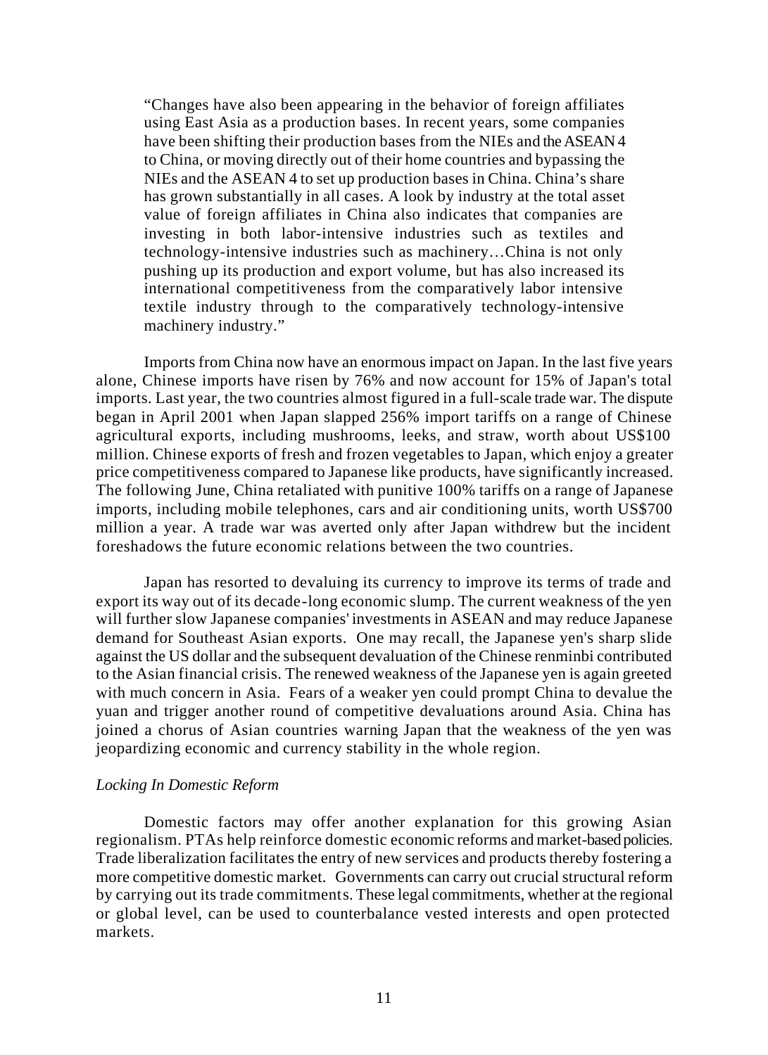"Changes have also been appearing in the behavior of foreign affiliates using East Asia as a production bases. In recent years, some companies have been shifting their production bases from the NIEs and the ASEAN 4 to China, or moving directly out of their home countries and bypassing the NIEs and the ASEAN 4 to set up production bases in China. China's share has grown substantially in all cases. A look by industry at the total asset value of foreign affiliates in China also indicates that companies are investing in both labor-intensive industries such as textiles and technology-intensive industries such as machinery…China is not only pushing up its production and export volume, but has also increased its international competitiveness from the comparatively labor intensive textile industry through to the comparatively technology-intensive machinery industry."

Imports from China now have an enormous impact on Japan. In the last five years alone, Chinese imports have risen by 76% and now account for 15% of Japan's total imports. Last year, the two countries almost figured in a full-scale trade war. The dispute began in April 2001 when Japan slapped 256% import tariffs on a range of Chinese agricultural exports, including mushrooms, leeks, and straw, worth about US\$100 million. Chinese exports of fresh and frozen vegetables to Japan, which enjoy a greater price competitiveness compared to Japanese like products, have significantly increased. The following June, China retaliated with punitive 100% tariffs on a range of Japanese imports, including mobile telephones, cars and air conditioning units, worth US\$700 million a year. A trade war was averted only after Japan withdrew but the incident foreshadows the future economic relations between the two countries.

Japan has resorted to devaluing its currency to improve its terms of trade and export its way out of its decade-long economic slump. The current weakness of the yen will further slow Japanese companies' investments in ASEAN and may reduce Japanese demand for Southeast Asian exports. One may recall, the Japanese yen's sharp slide against the US dollar and the subsequent devaluation of the Chinese renminbi contributed to the Asian financial crisis. The renewed weakness of the Japanese yen is again greeted with much concern in Asia. Fears of a weaker yen could prompt China to devalue the yuan and trigger another round of competitive devaluations around Asia. China has joined a chorus of Asian countries warning Japan that the weakness of the yen was jeopardizing economic and currency stability in the whole region.

#### *Locking In Domestic Reform*

Domestic factors may offer another explanation for this growing Asian regionalism. PTAs help reinforce domestic economic reforms and market-based policies. Trade liberalization facilitates the entry of new services and products thereby fostering a more competitive domestic market. Governments can carry out crucial structural reform by carrying out its trade commitments. These legal commitments, whether at the regional or global level, can be used to counterbalance vested interests and open protected markets.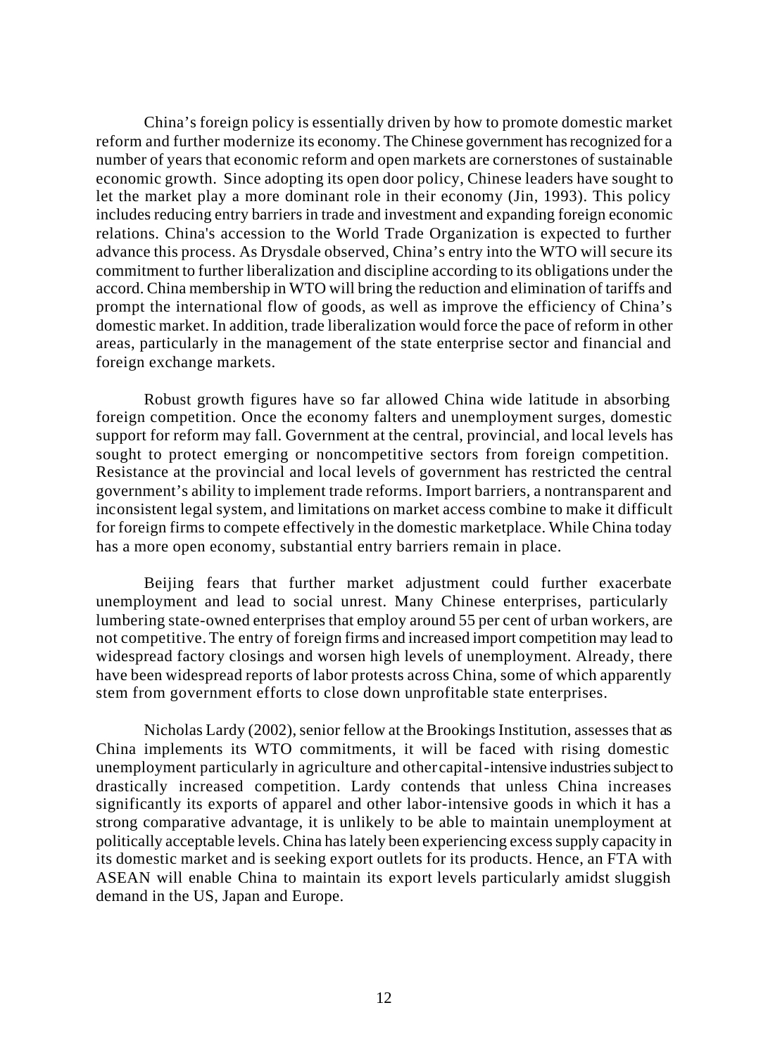China's foreign policy is essentially driven by how to promote domestic market reform and further modernize its economy. The Chinese government has recognized for a number of years that economic reform and open markets are cornerstones of sustainable economic growth. Since adopting its open door policy, Chinese leaders have sought to let the market play a more dominant role in their economy (Jin, 1993). This policy includes reducing entry barriers in trade and investment and expanding foreign economic relations. China's accession to the World Trade Organization is expected to further advance this process. As Drysdale observed, China's entry into the WTO will secure its commitment to further liberalization and discipline according to its obligations under the accord. China membership in WTO will bring the reduction and elimination of tariffs and prompt the international flow of goods, as well as improve the efficiency of China's domestic market. In addition, trade liberalization would force the pace of reform in other areas, particularly in the management of the state enterprise sector and financial and foreign exchange markets.

Robust growth figures have so far allowed China wide latitude in absorbing foreign competition. Once the economy falters and unemployment surges, domestic support for reform may fall. Government at the central, provincial, and local levels has sought to protect emerging or noncompetitive sectors from foreign competition. Resistance at the provincial and local levels of government has restricted the central government's ability to implement trade reforms. Import barriers, a nontransparent and inconsistent legal system, and limitations on market access combine to make it difficult for foreign firms to compete effectively in the domestic marketplace. While China today has a more open economy, substantial entry barriers remain in place.

Beijing fears that further market adjustment could further exacerbate unemployment and lead to social unrest. Many Chinese enterprises, particularly lumbering state-owned enterprises that employ around 55 per cent of urban workers, are not competitive. The entry of foreign firms and increased import competition may lead to widespread factory closings and worsen high levels of unemployment. Already, there have been widespread reports of labor protests across China, some of which apparently stem from government efforts to close down unprofitable state enterprises.

Nicholas Lardy (2002), senior fellow at the Brookings Institution, assesses that as China implements its WTO commitments, it will be faced with rising domestic unemployment particularly in agriculture and other capital-intensive industries subject to drastically increased competition. Lardy contends that unless China increases significantly its exports of apparel and other labor-intensive goods in which it has a strong comparative advantage, it is unlikely to be able to maintain unemployment at politically acceptable levels. China has lately been experiencing excess supply capacity in its domestic market and is seeking export outlets for its products. Hence, an FTA with ASEAN will enable China to maintain its export levels particularly amidst sluggish demand in the US, Japan and Europe.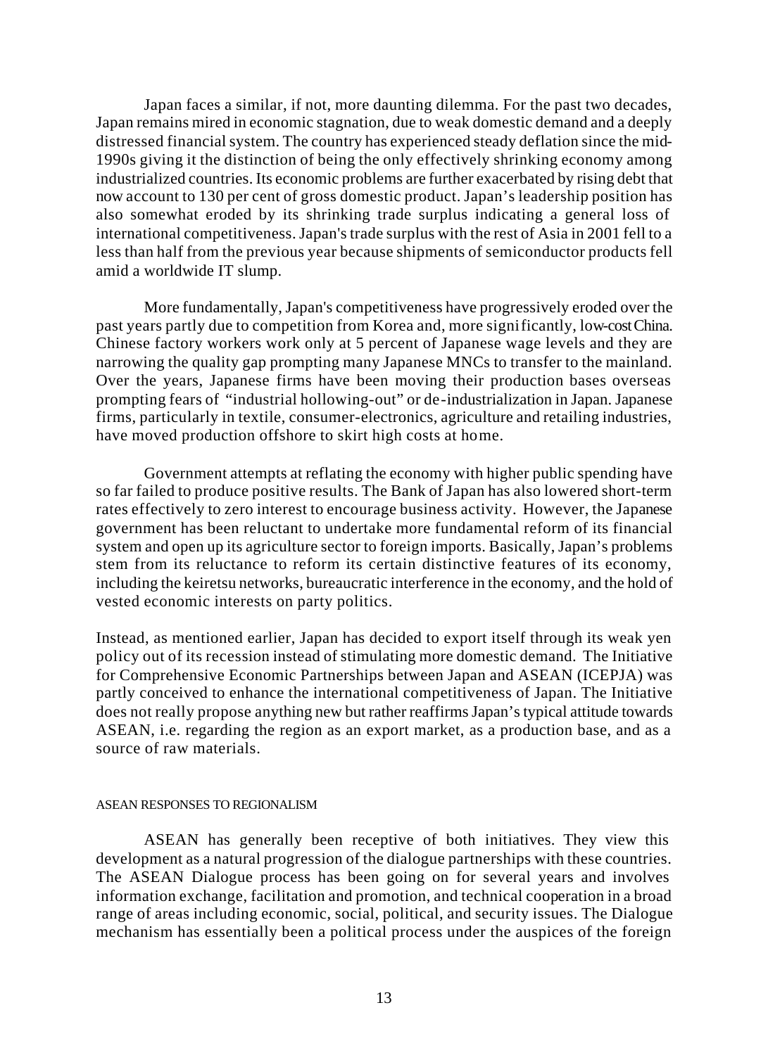Japan faces a similar, if not, more daunting dilemma. For the past two decades, Japan remains mired in economic stagnation, due to weak domestic demand and a deeply distressed financial system. The country has experienced steady deflation since the mid-1990s giving it the distinction of being the only effectively shrinking economy among industrialized countries. Its economic problems are further exacerbated by rising debt that now account to 130 per cent of gross domestic product. Japan's leadership position has also somewhat eroded by its shrinking trade surplus indicating a general loss of international competitiveness. Japan's trade surplus with the rest of Asia in 2001 fell to a less than half from the previous year because shipments of semiconductor products fell amid a worldwide IT slump.

More fundamentally, Japan's competitiveness have progressively eroded over the past years partly due to competition from Korea and, more significantly, low-cost China. Chinese factory workers work only at 5 percent of Japanese wage levels and they are narrowing the quality gap prompting many Japanese MNCs to transfer to the mainland. Over the years, Japanese firms have been moving their production bases overseas prompting fears of "industrial hollowing-out" or de-industrialization in Japan. Japanese firms, particularly in textile, consumer-electronics, agriculture and retailing industries, have moved production offshore to skirt high costs at home.

Government attempts at reflating the economy with higher public spending have so far failed to produce positive results. The Bank of Japan has also lowered short-term rates effectively to zero interest to encourage business activity. However, the Japanese government has been reluctant to undertake more fundamental reform of its financial system and open up its agriculture sector to foreign imports. Basically, Japan's problems stem from its reluctance to reform its certain distinctive features of its economy, including the keiretsu networks, bureaucratic interference in the economy, and the hold of vested economic interests on party politics.

Instead, as mentioned earlier, Japan has decided to export itself through its weak yen policy out of its recession instead of stimulating more domestic demand. The Initiative for Comprehensive Economic Partnerships between Japan and ASEAN (ICEPJA) was partly conceived to enhance the international competitiveness of Japan. The Initiative does not really propose anything new but rather reaffirms Japan's typical attitude towards ASEAN, i.e. regarding the region as an export market, as a production base, and as a source of raw materials.

### ASEAN RESPONSES TO REGIONALISM

ASEAN has generally been receptive of both initiatives. They view this development as a natural progression of the dialogue partnerships with these countries. The ASEAN Dialogue process has been going on for several years and involves information exchange, facilitation and promotion, and technical cooperation in a broad range of areas including economic, social, political, and security issues. The Dialogue mechanism has essentially been a political process under the auspices of the foreign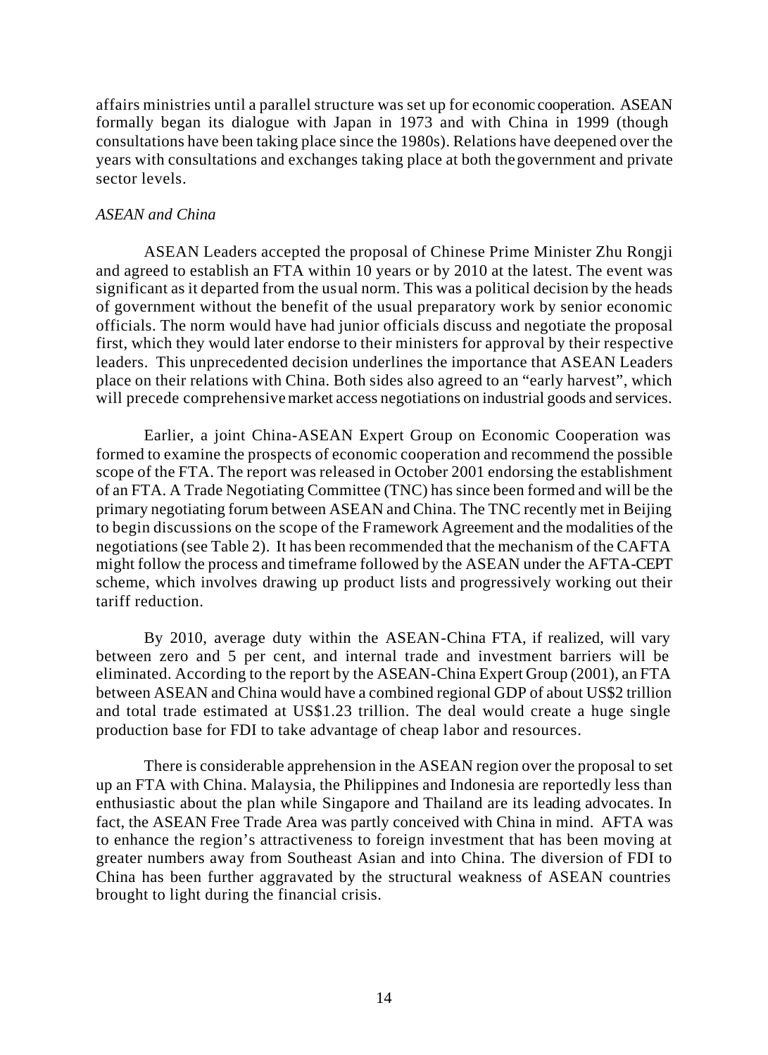affairs ministries until a parallel structure was set up for economic cooperation. ASEAN formally began its dialogue with Japan in 1973 and with China in 1999 (though consultations have been taking place since the 1980s). Relations have deepened over the years with consultations and exchanges taking place at both the government and private sector levels.

## *ASEAN and China*

ASEAN Leaders accepted the proposal of Chinese Prime Minister Zhu Rongji and agreed to establish an FTA within 10 years or by 2010 at the latest. The event was significant as it departed from the usual norm. This was a political decision by the heads of government without the benefit of the usual preparatory work by senior economic officials. The norm would have had junior officials discuss and negotiate the proposal first, which they would later endorse to their ministers for approval by their respective leaders. This unprecedented decision underlines the importance that ASEAN Leaders place on their relations with China. Both sides also agreed to an "early harvest", which will precede comprehensive market access negotiations on industrial goods and services.

Earlier, a joint China-ASEAN Expert Group on Economic Cooperation was formed to examine the prospects of economic cooperation and recommend the possible scope of the FTA. The report was released in October 2001 endorsing the establishment of an FTA. A Trade Negotiating Committee (TNC) has since been formed and will be the primary negotiating forum between ASEAN and China. The TNC recently met in Beijing to begin discussions on the scope of the Framework Agreement and the modalities of the negotiations (see Table 2). It has been recommended that the mechanism of the CAFTA might follow the process and timeframe followed by the ASEAN under the AFTA-CEPT scheme, which involves drawing up product lists and progressively working out their tariff reduction.

By 2010, average duty within the ASEAN-China FTA, if realized, will vary between zero and 5 per cent, and internal trade and investment barriers will be eliminated. According to the report by the ASEAN-China Expert Group (2001), an FTA between ASEAN and China would have a combined regional GDP of about US\$2 trillion and total trade estimated at US\$1.23 trillion. The deal would create a huge single production base for FDI to take advantage of cheap labor and resources.

There is considerable apprehension in the ASEAN region over the proposal to set up an FTA with China. Malaysia, the Philippines and Indonesia are reportedly less than enthusiastic about the plan while Singapore and Thailand are its leading advocates. In fact, the ASEAN Free Trade Area was partly conceived with China in mind. AFTA was to enhance the region's attractiveness to foreign investment that has been moving at greater numbers away from Southeast Asian and into China. The diversion of FDI to China has been further aggravated by the structural weakness of ASEAN countries brought to light during the financial crisis.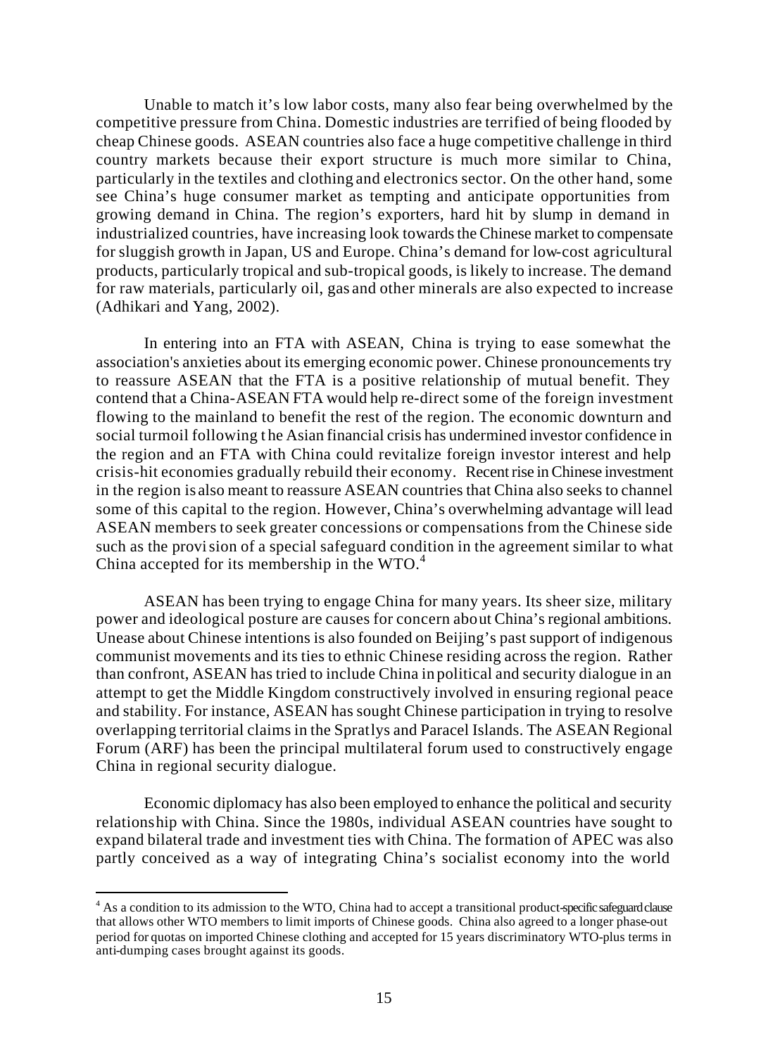Unable to match it's low labor costs, many also fear being overwhelmed by the competitive pressure from China. Domestic industries are terrified of being flooded by cheap Chinese goods. ASEAN countries also face a huge competitive challenge in third country markets because their export structure is much more similar to China, particularly in the textiles and clothing and electronics sector. On the other hand, some see China's huge consumer market as tempting and anticipate opportunities from growing demand in China. The region's exporters, hard hit by slump in demand in industrialized countries, have increasing look towards the Chinese market to compensate for sluggish growth in Japan, US and Europe. China's demand for low-cost agricultural products, particularly tropical and sub-tropical goods, is likely to increase. The demand for raw materials, particularly oil, gas and other minerals are also expected to increase (Adhikari and Yang, 2002).

In entering into an FTA with ASEAN, China is trying to ease somewhat the association's anxieties about its emerging economic power. Chinese pronouncements try to reassure ASEAN that the FTA is a positive relationship of mutual benefit. They contend that a China-ASEAN FTA would help re-direct some of the foreign investment flowing to the mainland to benefit the rest of the region. The economic downturn and social turmoil following t he Asian financial crisis has undermined investor confidence in the region and an FTA with China could revitalize foreign investor interest and help crisis-hit economies gradually rebuild their economy. Recent rise in Chinese investment in the region is also meant to reassure ASEAN countries that China also seeks to channel some of this capital to the region. However, China's overwhelming advantage will lead ASEAN members to seek greater concessions or compensations from the Chinese side such as the provision of a special safeguard condition in the agreement similar to what China accepted for its membership in the WTO.<sup>4</sup>

ASEAN has been trying to engage China for many years. Its sheer size, military power and ideological posture are causes for concern about China's regional ambitions. Unease about Chinese intentions is also founded on Beijing's past support of indigenous communist movements and its ties to ethnic Chinese residing across the region. Rather than confront, ASEAN has tried to include China in political and security dialogue in an attempt to get the Middle Kingdom constructively involved in ensuring regional peace and stability. For instance, ASEAN has sought Chinese participation in trying to resolve overlapping territorial claims in the Spratlys and Paracel Islands. The ASEAN Regional Forum (ARF) has been the principal multilateral forum used to constructively engage China in regional security dialogue.

Economic diplomacy has also been employed to enhance the political and security relationship with China. Since the 1980s, individual ASEAN countries have sought to expand bilateral trade and investment ties with China. The formation of APEC was also partly conceived as a way of integrating China's socialist economy into the world

 $\overline{a}$ 

<sup>&</sup>lt;sup>4</sup> As a condition to its admission to the WTO, China had to accept a transitional product-specific safeguard clause that allows other WTO members to limit imports of Chinese goods. China also agreed to a longer phase-out period for quotas on imported Chinese clothing and accepted for 15 years discriminatory WTO-plus terms in anti-dumping cases brought against its goods.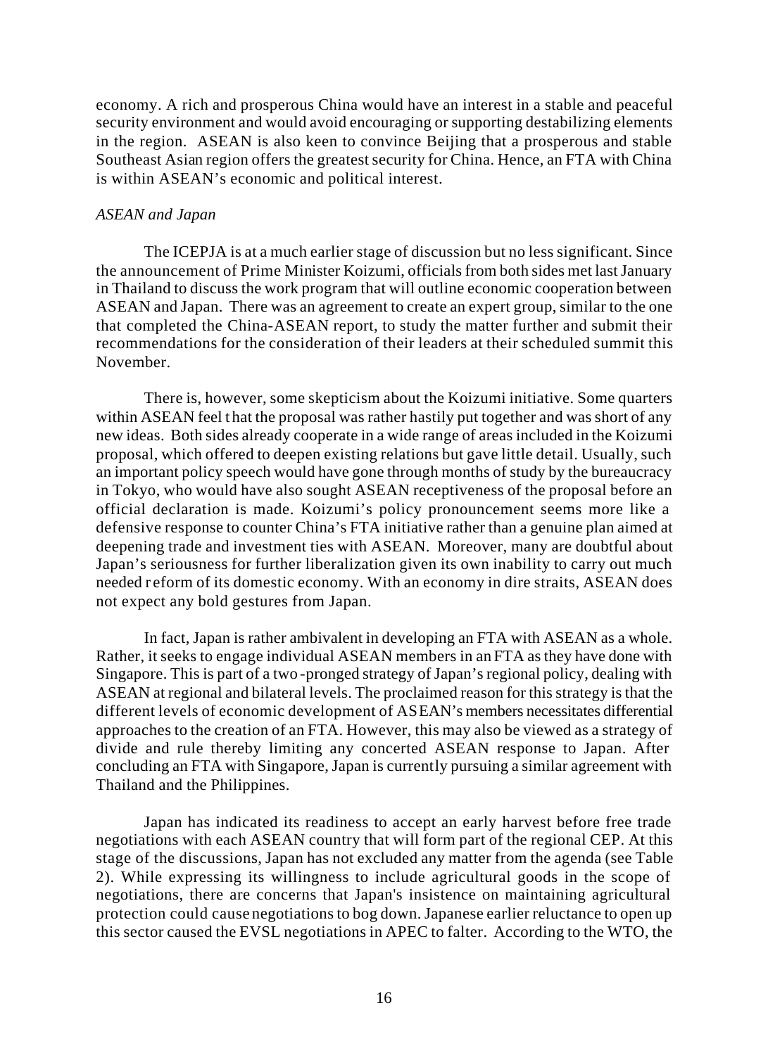economy. A rich and prosperous China would have an interest in a stable and peaceful security environment and would avoid encouraging or supporting destabilizing elements in the region. ASEAN is also keen to convince Beijing that a prosperous and stable Southeast Asian region offers the greatest security for China. Hence, an FTA with China is within ASEAN's economic and political interest.

## *ASEAN and Japan*

The ICEPJA is at a much earlier stage of discussion but no less significant. Since the announcement of Prime Minister Koizumi, officials from both sides met last January in Thailand to discuss the work program that will outline economic cooperation between ASEAN and Japan. There was an agreement to create an expert group, similar to the one that completed the China-ASEAN report, to study the matter further and submit their recommendations for the consideration of their leaders at their scheduled summit this November.

There is, however, some skepticism about the Koizumi initiative. Some quarters within ASEAN feel t hat the proposal was rather hastily put together and was short of any new ideas. Both sides already cooperate in a wide range of areas included in the Koizumi proposal, which offered to deepen existing relations but gave little detail. Usually, such an important policy speech would have gone through months of study by the bureaucracy in Tokyo, who would have also sought ASEAN receptiveness of the proposal before an official declaration is made. Koizumi's policy pronouncement seems more like a defensive response to counter China's FTA initiative rather than a genuine plan aimed at deepening trade and investment ties with ASEAN. Moreover, many are doubtful about Japan's seriousness for further liberalization given its own inability to carry out much needed r eform of its domestic economy. With an economy in dire straits, ASEAN does not expect any bold gestures from Japan.

In fact, Japan is rather ambivalent in developing an FTA with ASEAN as a whole. Rather, it seeks to engage individual ASEAN members in an FTA as they have done with Singapore. This is part of a two -pronged strategy of Japan's regional policy, dealing with ASEAN at regional and bilateral levels. The proclaimed reason for this strategy is that the different levels of economic development of ASEAN's members necessitates differential approaches to the creation of an FTA. However, this may also be viewed as a strategy of divide and rule thereby limiting any concerted ASEAN response to Japan. After concluding an FTA with Singapore, Japan is currently pursuing a similar agreement with Thailand and the Philippines.

Japan has indicated its readiness to accept an early harvest before free trade negotiations with each ASEAN country that will form part of the regional CEP. At this stage of the discussions, Japan has not excluded any matter from the agenda (see Table 2). While expressing its willingness to include agricultural goods in the scope of negotiations, there are concerns that Japan's insistence on maintaining agricultural protection could cause negotiations to bog down. Japanese earlier reluctance to open up this sector caused the EVSL negotiations in APEC to falter. According to the WTO, the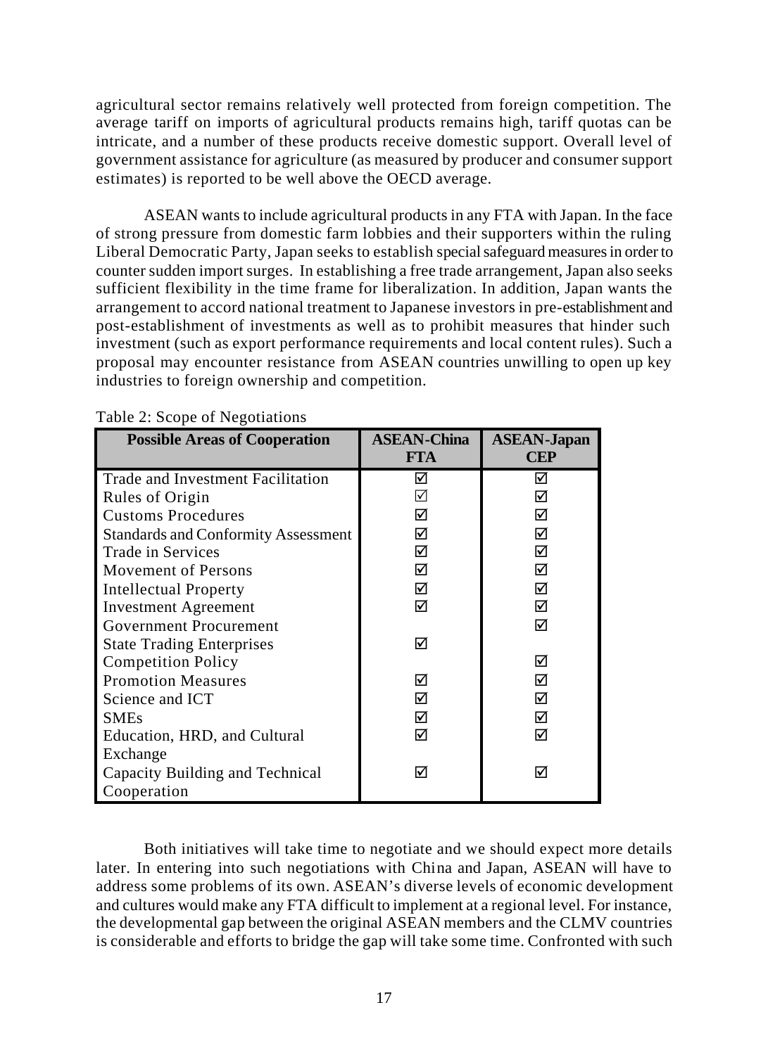agricultural sector remains relatively well protected from foreign competition. The average tariff on imports of agricultural products remains high, tariff quotas can be intricate, and a number of these products receive domestic support. Overall level of government assistance for agriculture (as measured by producer and consumer support estimates) is reported to be well above the OECD average.

ASEAN wants to include agricultural products in any FTA with Japan. In the face of strong pressure from domestic farm lobbies and their supporters within the ruling Liberal Democratic Party, Japan seeks to establish special safeguard measures in order to counter sudden import surges. In establishing a free trade arrangement, Japan also seeks sufficient flexibility in the time frame for liberalization. In addition, Japan wants the arrangement to accord national treatment to Japanese investors in pre-establishment and post-establishment of investments as well as to prohibit measures that hinder such investment (such as export performance requirements and local content rules). Such a proposal may encounter resistance from ASEAN countries unwilling to open up key industries to foreign ownership and competition.

| <b>Possible Areas of Cooperation</b>       | <b>ASEAN-China</b><br><b>FTA</b> | <b>ASEAN-Japan</b><br><b>CEP</b> |
|--------------------------------------------|----------------------------------|----------------------------------|
| <b>Trade and Investment Facilitation</b>   | ☑                                | ☑                                |
| Rules of Origin                            | ☑                                | ☑                                |
| <b>Customs Procedures</b>                  | ☑                                | ☑                                |
| <b>Standards and Conformity Assessment</b> | ☑                                | ☑                                |
| Trade in Services                          | ☑                                | ☑                                |
| <b>Movement of Persons</b>                 | ☑                                | ☑                                |
| <b>Intellectual Property</b>               | ☑                                | ☑                                |
| <b>Investment Agreement</b>                | ☑                                | ⊠                                |
| Government Procurement                     |                                  | ☑                                |
| <b>State Trading Enterprises</b>           | ☑                                |                                  |
| <b>Competition Policy</b>                  |                                  | ⋈                                |
| <b>Promotion Measures</b>                  | ☑                                | ⋈                                |
| Science and ICT                            | ☑                                | ⋈                                |
| <b>SMEs</b>                                | ☑                                | ⊠                                |
| Education, HRD, and Cultural               | ☑                                | ☑                                |
| Exchange                                   |                                  |                                  |
| Capacity Building and Technical            | ☑                                | ⋈                                |
| Cooperation                                |                                  |                                  |

Table 2: Scope of Negotiations

Both initiatives will take time to negotiate and we should expect more details later. In entering into such negotiations with China and Japan, ASEAN will have to address some problems of its own. ASEAN's diverse levels of economic development and cultures would make any FTA difficult to implement at a regional level. For instance, the developmental gap between the original ASEAN members and the CLMV countries is considerable and efforts to bridge the gap will take some time. Confronted with such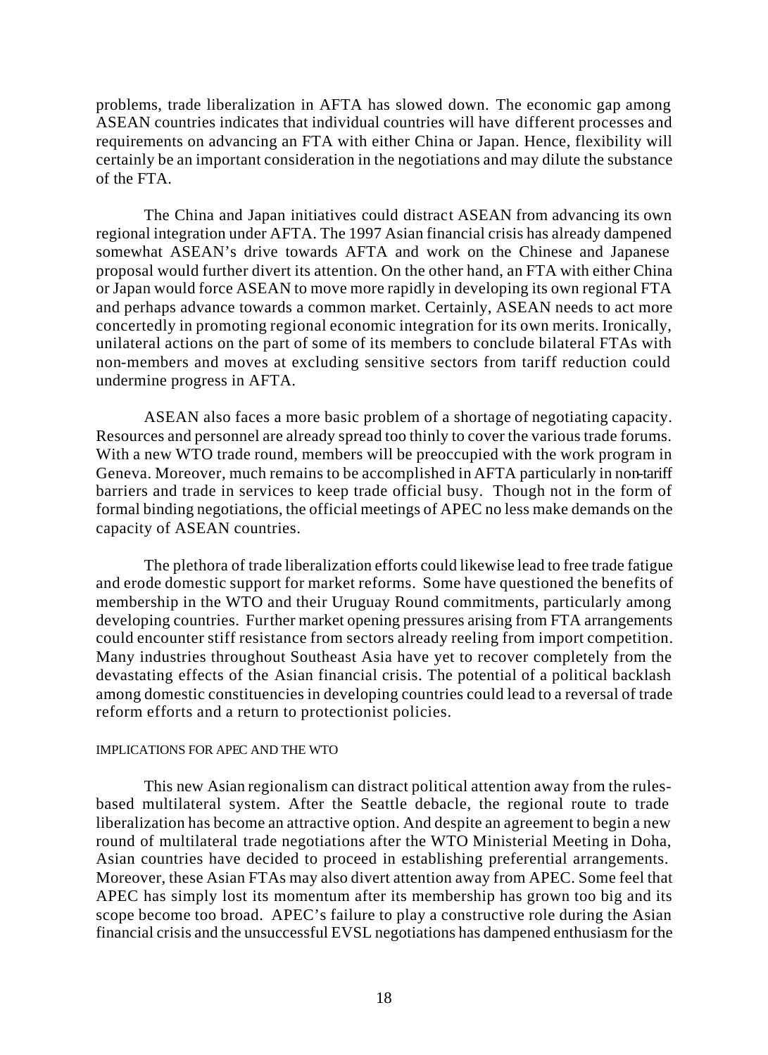problems, trade liberalization in AFTA has slowed down. The economic gap among ASEAN countries indicates that individual countries will have different processes and requirements on advancing an FTA with either China or Japan. Hence, flexibility will certainly be an important consideration in the negotiations and may dilute the substance of the FTA.

The China and Japan initiatives could distract ASEAN from advancing its own regional integration under AFTA. The 1997 Asian financial crisis has already dampened somewhat ASEAN's drive towards AFTA and work on the Chinese and Japanese proposal would further divert its attention. On the other hand, an FTA with either China or Japan would force ASEAN to move more rapidly in developing its own regional FTA and perhaps advance towards a common market. Certainly, ASEAN needs to act more concertedly in promoting regional economic integration for its own merits. Ironically, unilateral actions on the part of some of its members to conclude bilateral FTAs with non-members and moves at excluding sensitive sectors from tariff reduction could undermine progress in AFTA.

ASEAN also faces a more basic problem of a shortage of negotiating capacity. Resources and personnel are already spread too thinly to cover the various trade forums. With a new WTO trade round, members will be preoccupied with the work program in Geneva. Moreover, much remains to be accomplished in AFTA particularly in non-tariff barriers and trade in services to keep trade official busy. Though not in the form of formal binding negotiations, the official meetings of APEC no less make demands on the capacity of ASEAN countries.

The plethora of trade liberalization efforts could likewise lead to free trade fatigue and erode domestic support for market reforms. Some have questioned the benefits of membership in the WTO and their Uruguay Round commitments, particularly among developing countries. Further market opening pressures arising from FTA arrangements could encounter stiff resistance from sectors already reeling from import competition. Many industries throughout Southeast Asia have yet to recover completely from the devastating effects of the Asian financial crisis. The potential of a political backlash among domestic constituencies in developing countries could lead to a reversal of trade reform efforts and a return to protectionist policies.

#### IMPLICATIONS FOR APEC AND THE WTO

This new Asian regionalism can distract political attention away from the rulesbased multilateral system. After the Seattle debacle, the regional route to trade liberalization has become an attractive option. And despite an agreement to begin a new round of multilateral trade negotiations after the WTO Ministerial Meeting in Doha, Asian countries have decided to proceed in establishing preferential arrangements. Moreover, these Asian FTAs may also divert attention away from APEC. Some feel that APEC has simply lost its momentum after its membership has grown too big and its scope become too broad. APEC's failure to play a constructive role during the Asian financial crisis and the unsuccessful EVSL negotiations has dampened enthusiasm for the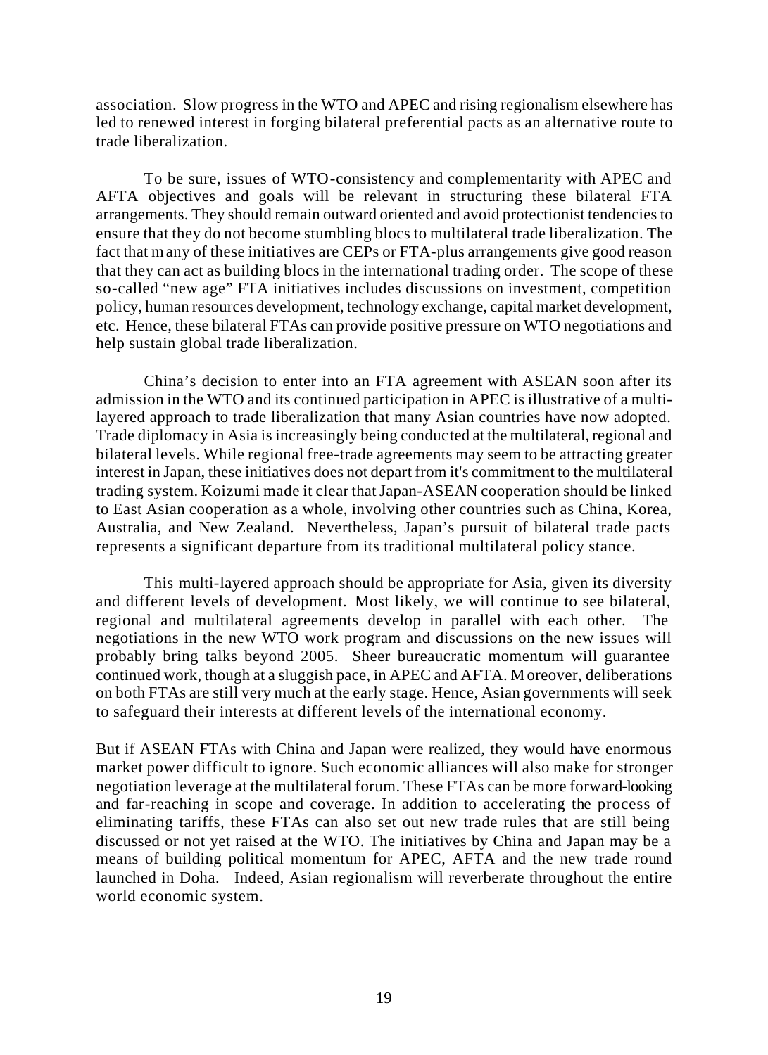association. Slow progress in the WTO and APEC and rising regionalism elsewhere has led to renewed interest in forging bilateral preferential pacts as an alternative route to trade liberalization.

To be sure, issues of WTO-consistency and complementarity with APEC and AFTA objectives and goals will be relevant in structuring these bilateral FTA arrangements. They should remain outward oriented and avoid protectionist tendencies to ensure that they do not become stumbling blocs to multilateral trade liberalization. The fact that many of these initiatives are CEPs or FTA-plus arrangements give good reason that they can act as building blocs in the international trading order. The scope of these so-called "new age" FTA initiatives includes discussions on investment, competition policy, human resources development, technology exchange, capital market development, etc. Hence, these bilateral FTAs can provide positive pressure on WTO negotiations and help sustain global trade liberalization.

China's decision to enter into an FTA agreement with ASEAN soon after its admission in the WTO and its continued participation in APEC is illustrative of a multilayered approach to trade liberalization that many Asian countries have now adopted. Trade diplomacy in Asia is increasingly being conducted at the multilateral, regional and bilateral levels. While regional free-trade agreements may seem to be attracting greater interest in Japan, these initiatives does not depart from it's commitment to the multilateral trading system. Koizumi made it clear that Japan-ASEAN cooperation should be linked to East Asian cooperation as a whole, involving other countries such as China, Korea, Australia, and New Zealand. Nevertheless, Japan's pursuit of bilateral trade pacts represents a significant departure from its traditional multilateral policy stance.

This multi-layered approach should be appropriate for Asia, given its diversity and different levels of development. Most likely, we will continue to see bilateral, regional and multilateral agreements develop in parallel with each other. The negotiations in the new WTO work program and discussions on the new issues will probably bring talks beyond 2005. Sheer bureaucratic momentum will guarantee continued work, though at a sluggish pace, in APEC and AFTA. Moreover, deliberations on both FTAs are still very much at the early stage. Hence, Asian governments will seek to safeguard their interests at different levels of the international economy.

But if ASEAN FTAs with China and Japan were realized, they would have enormous market power difficult to ignore. Such economic alliances will also make for stronger negotiation leverage at the multilateral forum. These FTAs can be more forward-looking and far-reaching in scope and coverage. In addition to accelerating the process of eliminating tariffs, these FTAs can also set out new trade rules that are still being discussed or not yet raised at the WTO. The initiatives by China and Japan may be a means of building political momentum for APEC, AFTA and the new trade round launched in Doha. Indeed, Asian regionalism will reverberate throughout the entire world economic system.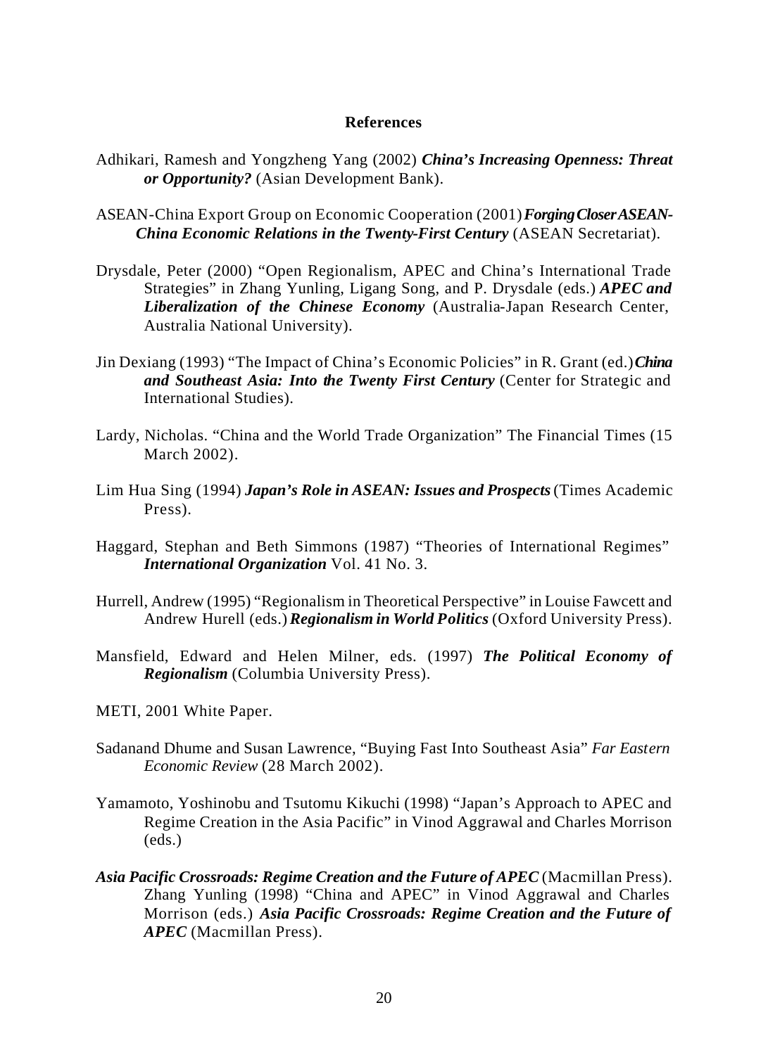#### **References**

- Adhikari, Ramesh and Yongzheng Yang (2002) *China's Increasing Openness: Threat or Opportunity?* (Asian Development Bank).
- ASEAN-China Export Group on Economic Cooperation (2001) *Forging Closer ASEAN-China Economic Relations in the Twenty-First Century* (ASEAN Secretariat).
- Drysdale, Peter (2000) "Open Regionalism, APEC and China's International Trade Strategies" in Zhang Yunling, Ligang Song, and P. Drysdale (eds.) *APEC and Liberalization of the Chinese Economy* (Australia-Japan Research Center, Australia National University).
- Jin Dexiang (1993) "The Impact of China's Economic Policies" in R. Grant (ed.) *China and Southeast Asia: Into the Twenty First Century* (Center for Strategic and International Studies).
- Lardy, Nicholas. "China and the World Trade Organization" The Financial Times (15 March 2002).
- Lim Hua Sing (1994) *Japan's Role in ASEAN: Issues and Prospects* (Times Academic Press).
- Haggard, Stephan and Beth Simmons (1987) "Theories of International Regimes" *International Organization* Vol. 41 No. 3.
- Hurrell, Andrew (1995) "Regionalism in Theoretical Perspective" in Louise Fawcett and Andrew Hurell (eds.) *Regionalism in World Politics* (Oxford University Press).
- Mansfield, Edward and Helen Milner, eds. (1997) *The Political Economy of Regionalism* (Columbia University Press).
- METI, 2001 White Paper.
- Sadanand Dhume and Susan Lawrence, "Buying Fast Into Southeast Asia" *Far Eastern Economic Review* (28 March 2002).
- Yamamoto, Yoshinobu and Tsutomu Kikuchi (1998) "Japan's Approach to APEC and Regime Creation in the Asia Pacific" in Vinod Aggrawal and Charles Morrison (eds.)
- *Asia Pacific Crossroads: Regime Creation and the Future of APEC* (Macmillan Press). Zhang Yunling (1998) "China and APEC" in Vinod Aggrawal and Charles Morrison (eds.) *Asia Pacific Crossroads: Regime Creation and the Future of APEC* (Macmillan Press).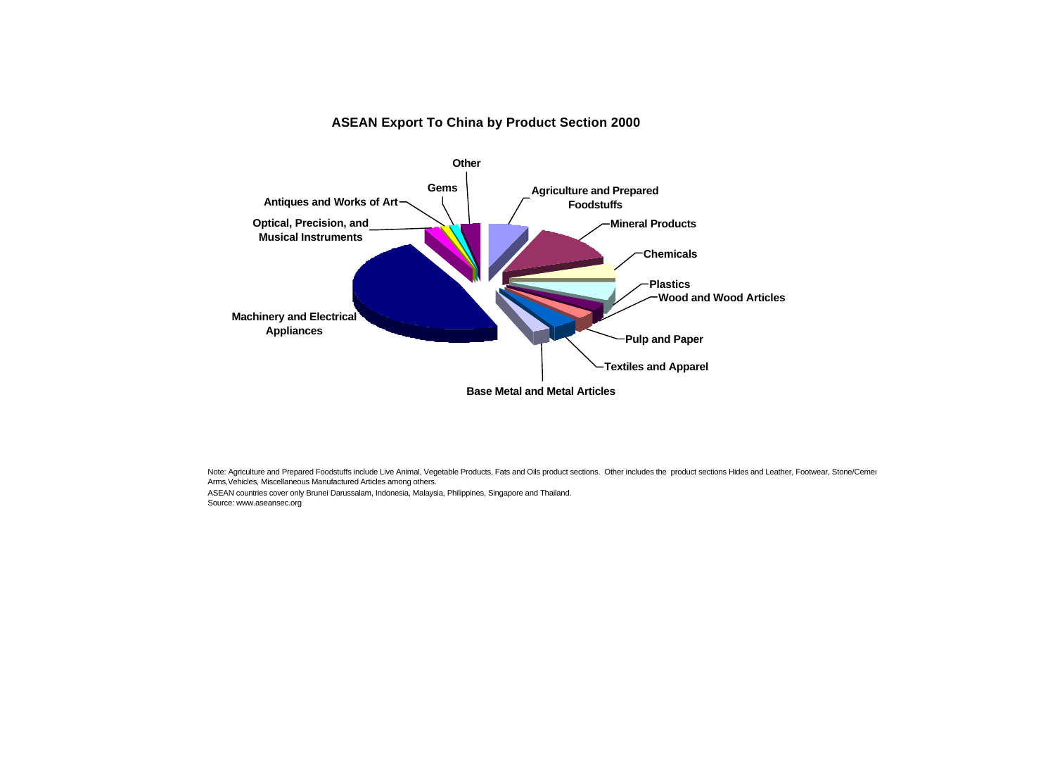#### **ASEAN Export To China by Product Section 2000**



Note: Agriculture and Prepared Foodstuffs include Live Animal, Vegetable Products, Fats and Oils product sections. Other includes the product sections Hides and Leather, Footwear, Stone/Cemen Arms,Vehicles, Miscellaneous Manufactured Articles among others. ASEAN countries cover only Brunei Darussalam, Indonesia, Malaysia, Philippines, Singapore and Thailand. Source: www.aseansec.org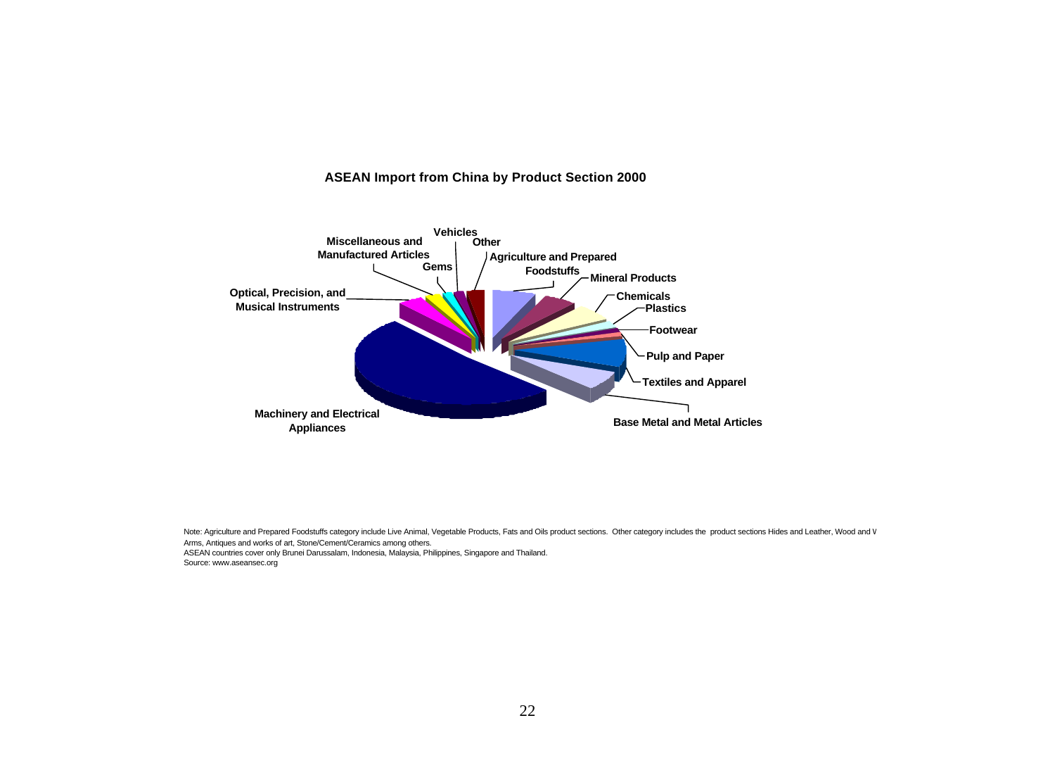#### **ASEAN Import from China by Product Section 2000**



Note: Agriculture and Prepared Foodstuffs category include Live Animal, Vegetable Products, Fats and Oils product sections. Other category includes the product sections Hides and Leather, Wood and V Arms, Antiques and works of art, Stone/Cement/Ceramics among others. ASEAN countries cover only Brunei Darussalam, Indonesia, Malaysia, Philippines, Singapore and Thailand. Source: www.aseansec.org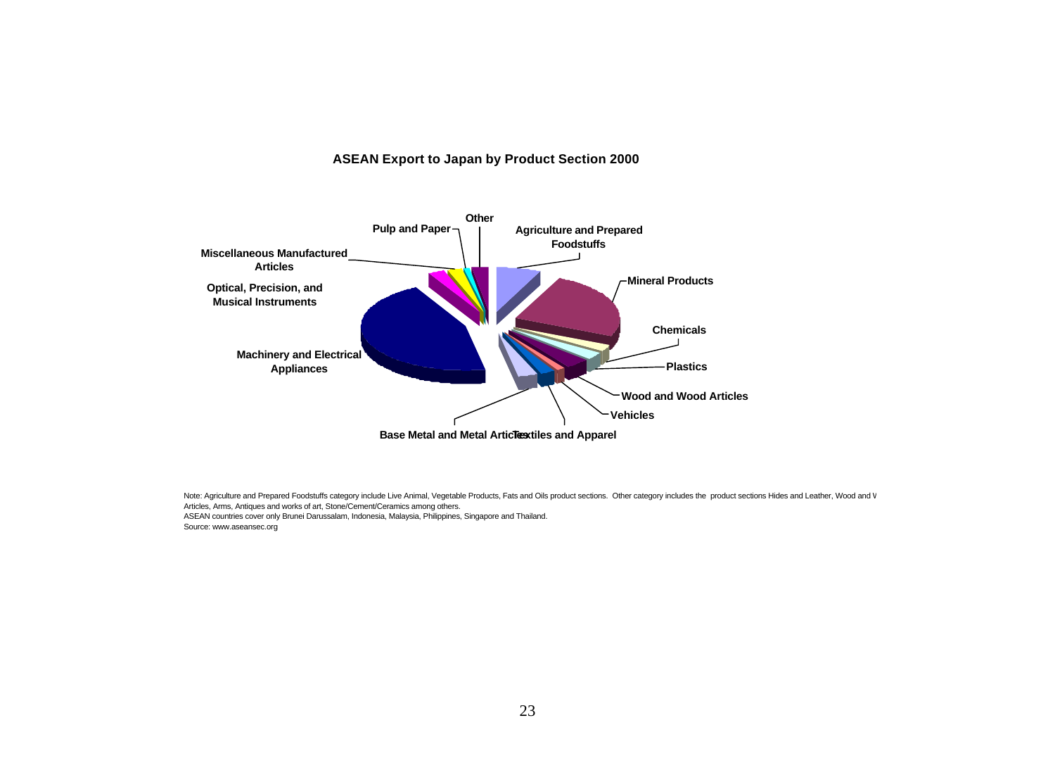#### **ASEAN Export to Japan by Product Section 2000**



Note: Agriculture and Prepared Foodstuffs category include Live Animal, Vegetable Products, Fats and Oils product sections. Other category includes the product sections Hides and Leather, Wood and V Articles, Arms, Antiques and works of art, Stone/Cement/Ceramics among others. ASEAN countries cover only Brunei Darussalam, Indonesia, Malaysia, Philippines, Singapore and Thailand. Source: www.aseansec.org